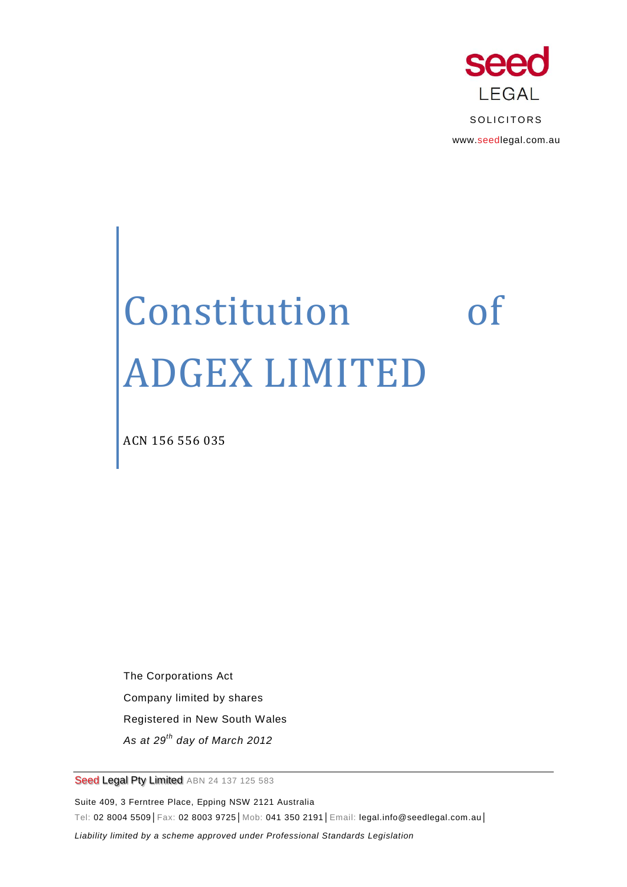

# Constitution of ADGEX LIMITED

ACN 156 556 035

The Corporations Act Company limited by shares Registered in New South Wales *As at 29th day of March 2012*

Seed Legal Pty Limited ABN 24 137 125 583

Suite 409, 3 Ferntree Place, Epping NSW 2121 Australia Tel: 02 8004 5509│Fax: 02 8003 9725│Mob: 041 350 2191│Email: legal.info@seedlegal.com.au│ *Liability limited by a scheme approved under Professional Standards Legislation*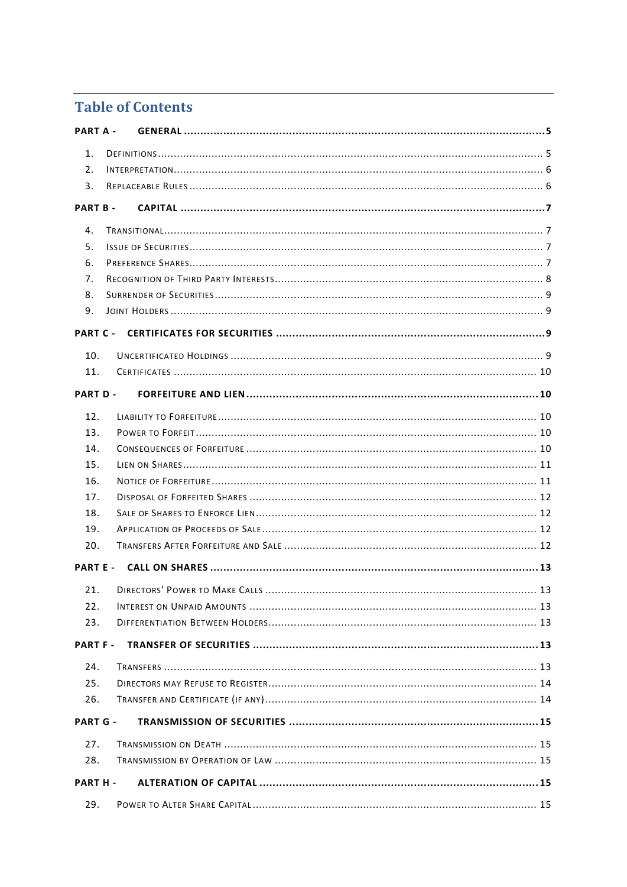# **Table of Contents**

| PART A -        |  |
|-----------------|--|
| 1.              |  |
| 2.              |  |
| 3.              |  |
| <b>PART B-</b>  |  |
| 4.              |  |
| 5 <sub>1</sub>  |  |
| 6.              |  |
| 7.              |  |
| 8.              |  |
| 9.              |  |
| <b>PART C -</b> |  |
| 10.             |  |
| 11.             |  |
| <b>PART D-</b>  |  |
| 12.             |  |
| 13.             |  |
| 14.             |  |
| 15.             |  |
| 16.             |  |
| 17.             |  |
| 18.             |  |
| 19.             |  |
| 20.             |  |
| <b>PART E -</b> |  |
| 21.             |  |
| 22.             |  |
| 23.             |  |
| <b>PART F-</b>  |  |
| 24.             |  |
| 25.             |  |
| 26.             |  |
| <b>PART G -</b> |  |
| 27.             |  |
| 28.             |  |
| PART H -        |  |
| 29.             |  |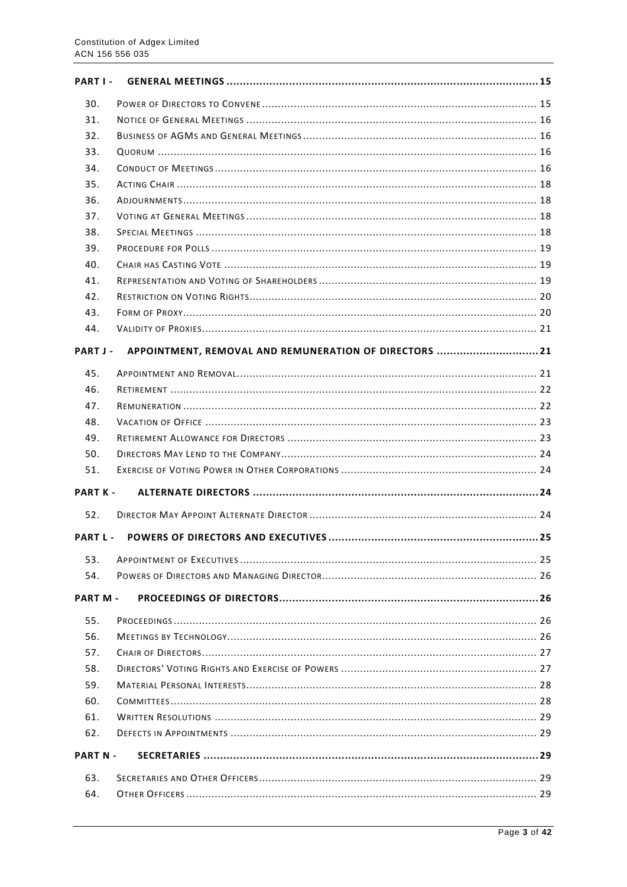| PART I-         |                                                        |  |  |  |  |
|-----------------|--------------------------------------------------------|--|--|--|--|
| 30.             |                                                        |  |  |  |  |
| 31.             |                                                        |  |  |  |  |
| 32.             |                                                        |  |  |  |  |
| 33.             |                                                        |  |  |  |  |
| 34.             |                                                        |  |  |  |  |
| 35.             |                                                        |  |  |  |  |
| 36.             |                                                        |  |  |  |  |
| 37.             |                                                        |  |  |  |  |
| 38.             |                                                        |  |  |  |  |
| 39.             |                                                        |  |  |  |  |
| 40.             |                                                        |  |  |  |  |
| 41.             |                                                        |  |  |  |  |
| 42.             |                                                        |  |  |  |  |
| 43.             |                                                        |  |  |  |  |
| 44.             |                                                        |  |  |  |  |
| PART J-         | APPOINTMENT, REMOVAL AND REMUNERATION OF DIRECTORS  21 |  |  |  |  |
| 45.             |                                                        |  |  |  |  |
| 46.             |                                                        |  |  |  |  |
| 47.             |                                                        |  |  |  |  |
| 48.             |                                                        |  |  |  |  |
| 49.             |                                                        |  |  |  |  |
| 50.             |                                                        |  |  |  |  |
| 51.             |                                                        |  |  |  |  |
| <b>PART K -</b> |                                                        |  |  |  |  |
| 52.             |                                                        |  |  |  |  |
| PART L-         |                                                        |  |  |  |  |
| 53.             |                                                        |  |  |  |  |
| 54.             |                                                        |  |  |  |  |
| <b>PART M-</b>  |                                                        |  |  |  |  |
| 55.             |                                                        |  |  |  |  |
| 56.             |                                                        |  |  |  |  |
| 57.             |                                                        |  |  |  |  |
| 58.             |                                                        |  |  |  |  |
| 59.             |                                                        |  |  |  |  |
| 60.             |                                                        |  |  |  |  |
| 61.             |                                                        |  |  |  |  |
| 62.             |                                                        |  |  |  |  |
| <b>PART N -</b> |                                                        |  |  |  |  |
|                 |                                                        |  |  |  |  |
| 63.             |                                                        |  |  |  |  |
| 64.             |                                                        |  |  |  |  |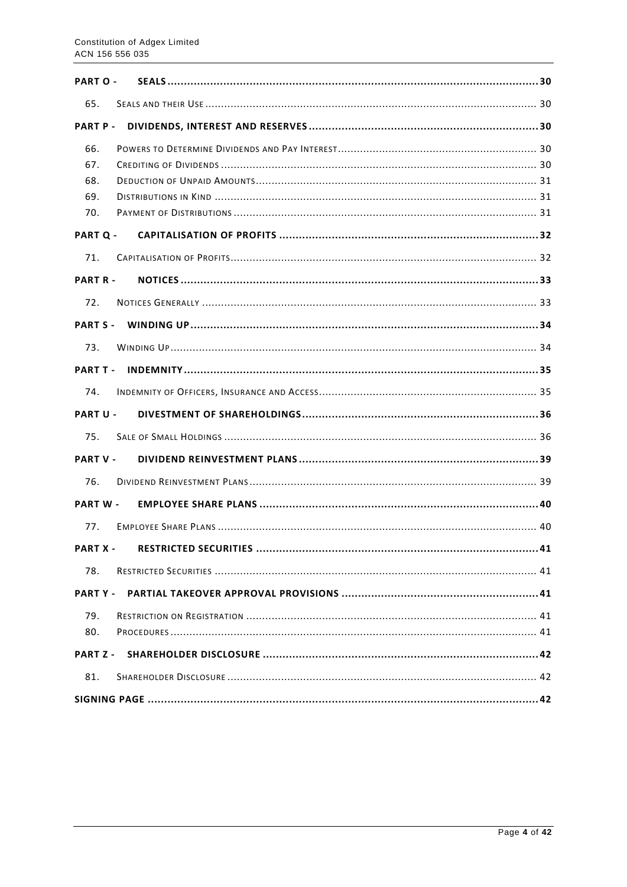| <b>PART O -</b>                 |  |  |  |  |
|---------------------------------|--|--|--|--|
| 65.                             |  |  |  |  |
| <b>PART P-</b>                  |  |  |  |  |
| 66.<br>67.<br>68.<br>69.<br>70. |  |  |  |  |
| <b>PART Q -</b>                 |  |  |  |  |
| 71.                             |  |  |  |  |
| <b>PART R-</b>                  |  |  |  |  |
| 72.                             |  |  |  |  |
| <b>PART S -</b>                 |  |  |  |  |
| 73.                             |  |  |  |  |
| PART T -                        |  |  |  |  |
| 74.                             |  |  |  |  |
| <b>PART U -</b>                 |  |  |  |  |
| 75.                             |  |  |  |  |
| <b>PART V -</b>                 |  |  |  |  |
| 76.                             |  |  |  |  |
| <b>PART W -</b>                 |  |  |  |  |
| 77.                             |  |  |  |  |
| <b>PART X -</b>                 |  |  |  |  |
| 78.                             |  |  |  |  |
| <b>PARTY-</b>                   |  |  |  |  |
| 79.<br>80.                      |  |  |  |  |
| <b>PART Z -</b>                 |  |  |  |  |
| 81.                             |  |  |  |  |
|                                 |  |  |  |  |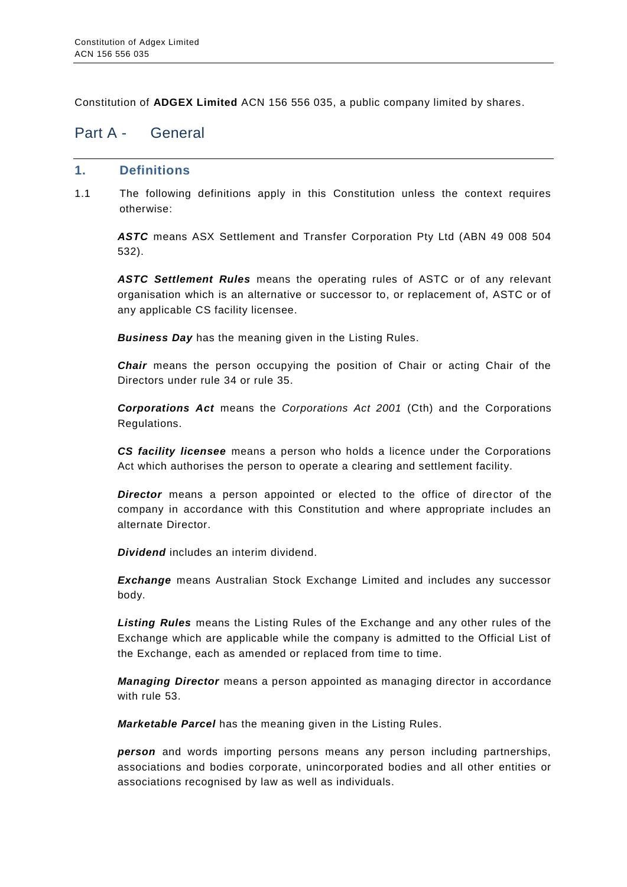Constitution of **ADGEX Limited** ACN 156 556 035, a public company limited by shares.

# <span id="page-4-0"></span>Part A - General

#### <span id="page-4-1"></span>**1. Definitions**

1.1 The following definitions apply in this Constitution unless the context requires otherwise:

*ASTC* means ASX Settlement and Transfer Corporation Pty Ltd (ABN 49 008 504 532).

*ASTC Settlement Rules* means the operating rules of ASTC or of any relevant organisation which is an alternative or successor to, or replacement of, ASTC or of any applicable CS facility licensee.

*Business Day* has the meaning given in the Listing Rules.

*Chair* means the person occupying the position of Chair or acting Chair of the Directors under rule [34](#page-15-3) or rule [35.](#page-17-0)

*Corporations Act* means the *Corporations Act 2001* (Cth) and the Corporations Regulations.

*CS facility licensee* means a person who holds a licence under the Corporations Act which authorises the person to operate a clearing and settlement facility.

*Director* means a person appointed or elected to the office of director of the company in accordance with this Constitution and where appropriate includes an alternate Director.

*Dividend* includes an interim dividend.

*Exchange* means Australian Stock Exchange Limited and includes any successor body.

*Listing Rules* means the Listing Rules of the Exchange and any other rules of the Exchange which are applicable while the company is admitted to the Official List of the Exchange, each as amended or replaced from time to time.

*Managing Director* means a person appointed as managing director in accordance with rule [53.](#page-24-1)

*Marketable Parcel* has the meaning given in the Listing Rules.

*person* and words importing persons means any person including partnerships, associations and bodies corporate, unincorporated bodies and all other entities or associations recognised by law as well as individuals.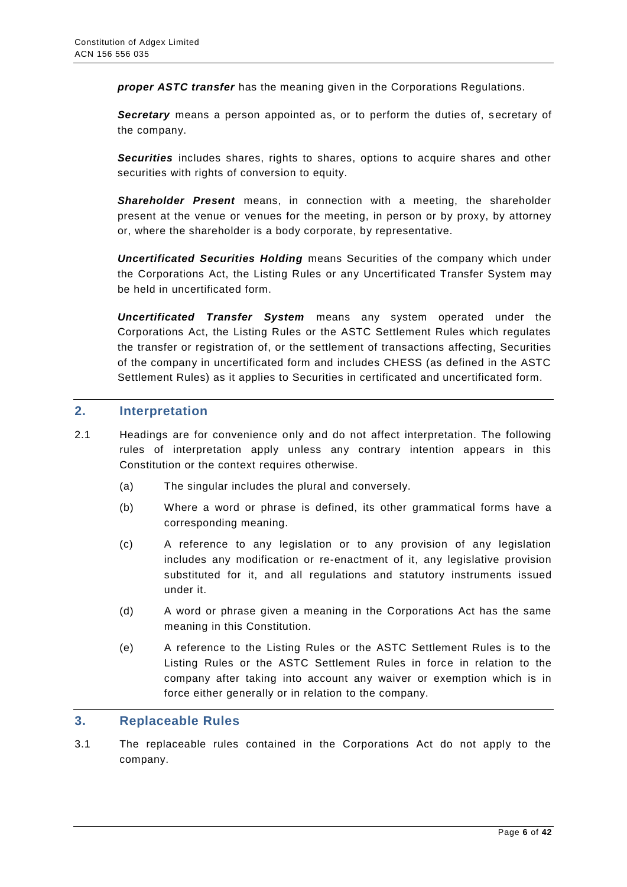*proper ASTC transfer* has the meaning given in the Corporations Regulations.

**Secretary** means a person appointed as, or to perform the duties of, secretary of the company.

*Securities* includes shares, rights to shares, options to acquire shares and other securities with rights of conversion to equity.

*Shareholder Present* means, in connection with a meeting, the shareholder present at the venue or venues for the meeting, in person or by proxy, by attorney or, where the shareholder is a body corporate, by representative.

*Uncertificated Securities Holding* means Securities of the company which under the Corporations Act, the Listing Rules or any Uncertificated Transfer System may be held in uncertificated form.

*Uncertificated Transfer System* means any system operated under the Corporations Act, the Listing Rules or the ASTC Settlement Rules which regulates the transfer or registration of, or the settlement of transactions affecting, Securities of the company in uncertificated form and includes CHESS (as defined in the ASTC Settlement Rules) as it applies to Securities in certificated and uncertificated form.

#### <span id="page-5-0"></span>**2. Interpretation**

- 2.1 Headings are for convenience only and do not affect interpretation. The following rules of interpretation apply unless any contrary intention appears in this Constitution or the context requires otherwise.
	- (a) The singular includes the plural and conversely.
	- (b) Where a word or phrase is defined, its other grammatical forms have a corresponding meaning.
	- (c) A reference to any legislation or to any provision of any legislation includes any modification or re-enactment of it, any legislative provision substituted for it, and all regulations and statutory instruments issued under it.
	- (d) A word or phrase given a meaning in the Corporations Act has the same meaning in this Constitution.
	- (e) A reference to the Listing Rules or the ASTC Settlement Rules is to the Listing Rules or the ASTC Settlement Rules in force in relation to the company after taking into account any waiver or exemption which is in force either generally or in relation to the company.

#### <span id="page-5-1"></span>**3. Replaceable Rules**

3.1 The replaceable rules contained in the Corporations Act do not apply to the company.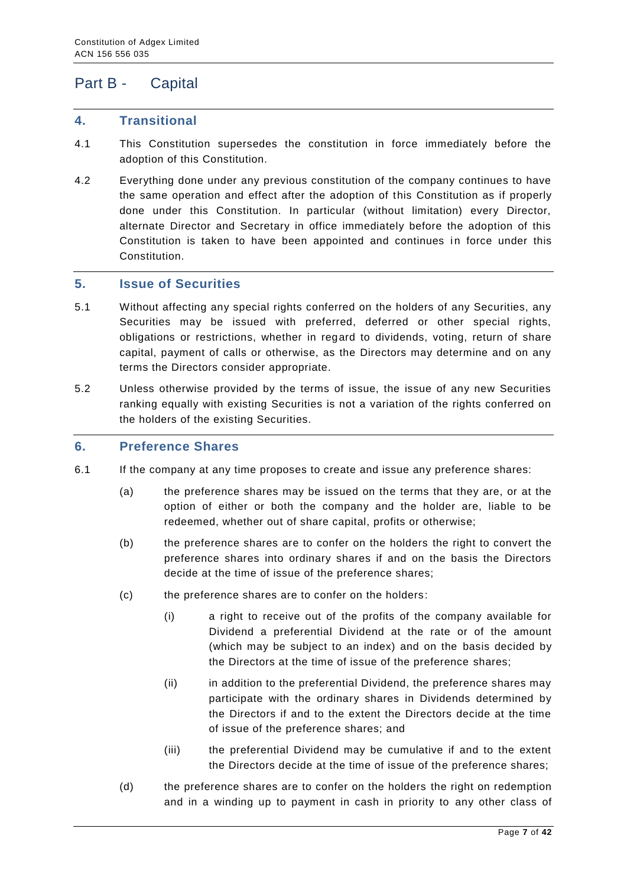# <span id="page-6-0"></span>Part B - Capital

#### <span id="page-6-1"></span>**4. Transitional**

- 4.1 This Constitution supersedes the constitution in force immediately before the adoption of this Constitution.
- 4.2 Everything done under any previous constitution of the company continues to have the same operation and effect after the adoption of this Constitution as if properly done under this Constitution. In particular (without limitation) every Director, alternate Director and Secretary in office immediately before the adoption of this Constitution is taken to have been appointed and continues in force under this Constitution.

#### <span id="page-6-2"></span>**5. Issue of Securities**

- 5.1 Without affecting any special rights conferred on the holders of any Securities, any Securities may be issued with preferred, deferred or other special rights, obligations or restrictions, whether in regard to dividends, voting, return of share capital, payment of calls or otherwise, as the Directors may determine and on any terms the Directors consider appropriate.
- 5.2 Unless otherwise provided by the terms of issue, the issue of any new Securities ranking equally with existing Securities is not a variation of the rights conferred on the holders of the existing Securities.

#### <span id="page-6-3"></span>**6. Preference Shares**

- 6.1 If the company at any time proposes to create and issue any preference shares:
	- (a) the preference shares may be issued on the terms that they are, or at the option of either or both the company and the holder are, liable to be redeemed, whether out of share capital, profits or otherwise;
	- (b) the preference shares are to confer on the holders the right to convert the preference shares into ordinary shares if and on the basis the Directors decide at the time of issue of the preference shares;
	- (c) the preference shares are to confer on the holders:
		- (i) a right to receive out of the profits of the company available for Dividend a preferential Dividend at the rate or of the amount (which may be subject to an index) and on the basis decided by the Directors at the time of issue of the preference shares;
		- (ii) in addition to the preferential Dividend, the preference shares may participate with the ordinary shares in Dividends determined by the Directors if and to the extent the Directors decide at the time of issue of the preference shares; and
		- (iii) the preferential Dividend may be cumulative if and to the extent the Directors decide at the time of issue of the preference shares;
	- (d) the preference shares are to confer on the holders the right on redemption and in a winding up to payment in cash in priority to any other class of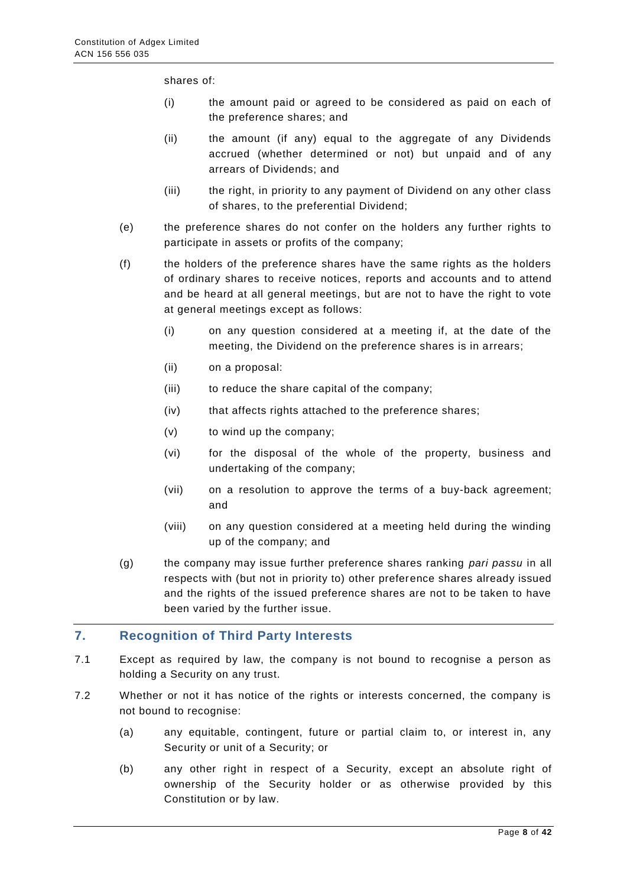shares of:

- (i) the amount paid or agreed to be considered as paid on each of the preference shares; and
- (ii) the amount (if any) equal to the aggregate of any Dividends accrued (whether determined or not) but unpaid and of any arrears of Dividends; and
- (iii) the right, in priority to any payment of Dividend on any other class of shares, to the preferential Dividend;
- (e) the preference shares do not confer on the holders any further rights to participate in assets or profits of the company;
- (f) the holders of the preference shares have the same rights as the holders of ordinary shares to receive notices, reports and accounts and to attend and be heard at all general meetings, but are not to have the right to vote at general meetings except as follows:
	- (i) on any question considered at a meeting if, at the date of the meeting, the Dividend on the preference shares is in arrears;
	- (ii) on a proposal:
	- (iii) to reduce the share capital of the company;
	- (iv) that affects rights attached to the preference shares;
	- (v) to wind up the company;
	- (vi) for the disposal of the whole of the property, business and undertaking of the company;
	- (vii) on a resolution to approve the terms of a buy-back agreement; and
	- (viii) on any question considered at a meeting held during the winding up of the company; and
- (g) the company may issue further preference shares ranking *pari passu* in all respects with (but not in priority to) other preference shares already issued and the rights of the issued preference shares are not to be taken to have been varied by the further issue.

#### <span id="page-7-0"></span>**7. Recognition of Third Party Interests**

- 7.1 Except as required by law, the company is not bound to recognise a person as holding a Security on any trust.
- 7.2 Whether or not it has notice of the rights or interests concerned, the company is not bound to recognise:
	- (a) any equitable, contingent, future or partial claim to, or interest in, any Security or unit of a Security; or
	- (b) any other right in respect of a Security, except an absolute right of ownership of the Security holder or as otherwise provided by this Constitution or by law.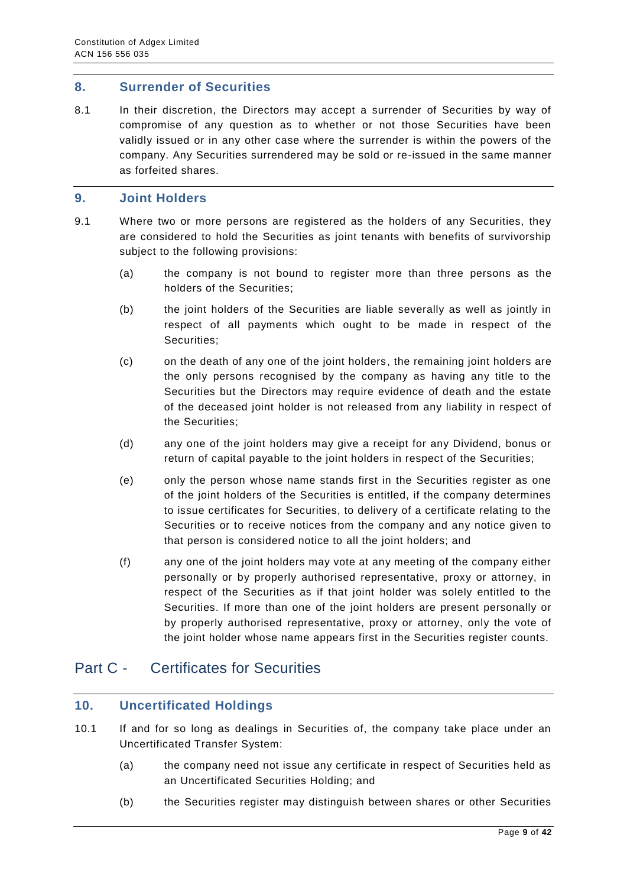#### <span id="page-8-0"></span>**8. Surrender of Securities**

8.1 In their discretion, the Directors may accept a surrender of Securities by way of compromise of any question as to whether or not those Securities have been validly issued or in any other case where the surrender is within the powers of the company. Any Securities surrendered may be sold or re-issued in the same manner as forfeited shares.

#### <span id="page-8-1"></span>**9. Joint Holders**

- 9.1 Where two or more persons are registered as the holders of any Securities, they are considered to hold the Securities as joint tenants with benefits of survivorship subject to the following provisions:
	- (a) the company is not bound to register more than three persons as the holders of the Securities;
	- (b) the joint holders of the Securities are liable severally as well as jointly in respect of all payments which ought to be made in respect of the Securities;
	- (c) on the death of any one of the joint holders, the remaining joint holders are the only persons recognised by the company as having any title to the Securities but the Directors may require evidence of death and the estate of the deceased joint holder is not released from any liability in respect of the Securities;
	- (d) any one of the joint holders may give a receipt for any Dividend, bonus or return of capital payable to the joint holders in respect of the Securities;
	- (e) only the person whose name stands first in the Securities register as one of the joint holders of the Securities is entitled, if the company determines to issue certificates for Securities, to delivery of a certificate relating to the Securities or to receive notices from the company and any notice given to that person is considered notice to all the joint holders; and
	- (f) any one of the joint holders may vote at any meeting of the company either personally or by properly authorised representative, proxy or attorney, in respect of the Securities as if that joint holder was solely entitled to the Securities. If more than one of the joint holders are present personally or by properly authorised representative, proxy or attorney, only the vote of the joint holder whose name appears first in the Securities register counts.

## <span id="page-8-2"></span>Part C - Certificates for Securities

#### <span id="page-8-3"></span>**10. Uncertificated Holdings**

- 10.1 If and for so long as dealings in Securities of, the company take place under an Uncertificated Transfer System:
	- (a) the company need not issue any certificate in respect of Securities held as an Uncertificated Securities Holding; and
	- (b) the Securities register may distinguish between shares or other Securities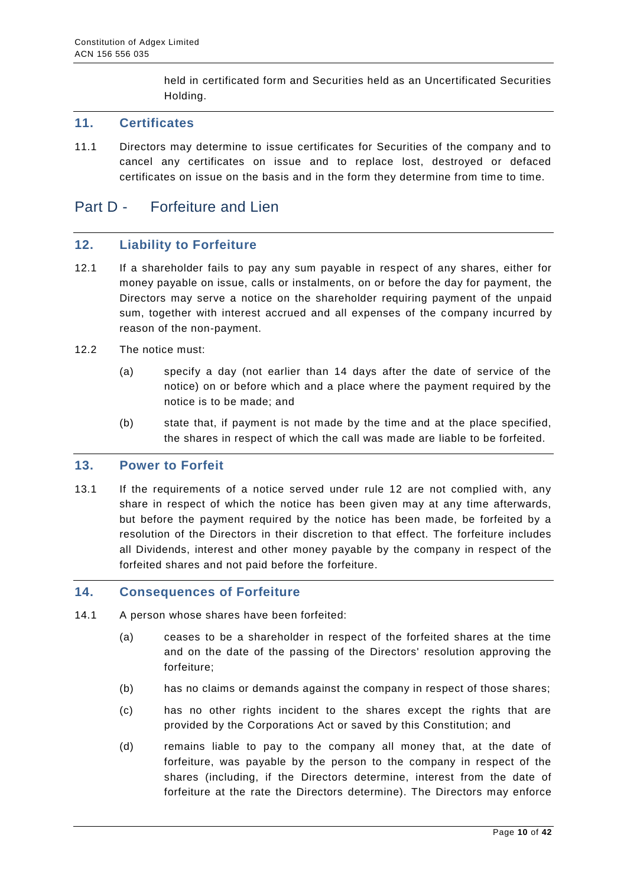held in certificated form and Securities held as an Uncertificated Securities Holding.

#### <span id="page-9-0"></span>**11. Certificates**

11.1 Directors may determine to issue certificates for Securities of the company and to cancel any certificates on issue and to replace lost, destroyed or defaced certificates on issue on the basis and in the form they determine from time to time.

## <span id="page-9-1"></span>Part D - Forfeiture and Lien

#### <span id="page-9-2"></span>**12. Liability to Forfeiture**

- 12.1 If a shareholder fails to pay any sum payable in respect of any shares, either for money payable on issue, calls or instalments, on or before the day for payment, the Directors may serve a notice on the shareholder requiring payment of the unpaid sum, together with interest accrued and all expenses of the company incurred by reason of the non-payment.
- 12.2 The notice must:
	- (a) specify a day (not earlier than 14 days after the date of service of the notice) on or before which and a place where the payment required by the notice is to be made; and
	- (b) state that, if payment is not made by the time and at the place specified, the shares in respect of which the call was made are liable to be forfeited.

#### <span id="page-9-3"></span>**13. Power to Forfeit**

13.1 If the requirements of a notice served under rule 12 are not complied with, any share in respect of which the notice has been given may at any time afterwards, but before the payment required by the notice has been made, be forfeited by a resolution of the Directors in their discretion to that effect. The forfeiture includes all Dividends, interest and other money payable by the company in respect of the forfeited shares and not paid before the forfeiture.

#### <span id="page-9-4"></span>**14. Consequences of Forfeiture**

- 14.1 A person whose shares have been forfeited:
	- (a) ceases to be a shareholder in respect of the forfeited shares at the time and on the date of the passing of the Directors' resolution approving the forfeiture;
	- (b) has no claims or demands against the company in respect of those shares;
	- (c) has no other rights incident to the shares except the rights that are provided by the Corporations Act or saved by this Constitution; and
	- (d) remains liable to pay to the company all money that, at the date of forfeiture, was payable by the person to the company in respect of the shares (including, if the Directors determine, interest from the date of forfeiture at the rate the Directors determine). The Directors may enforce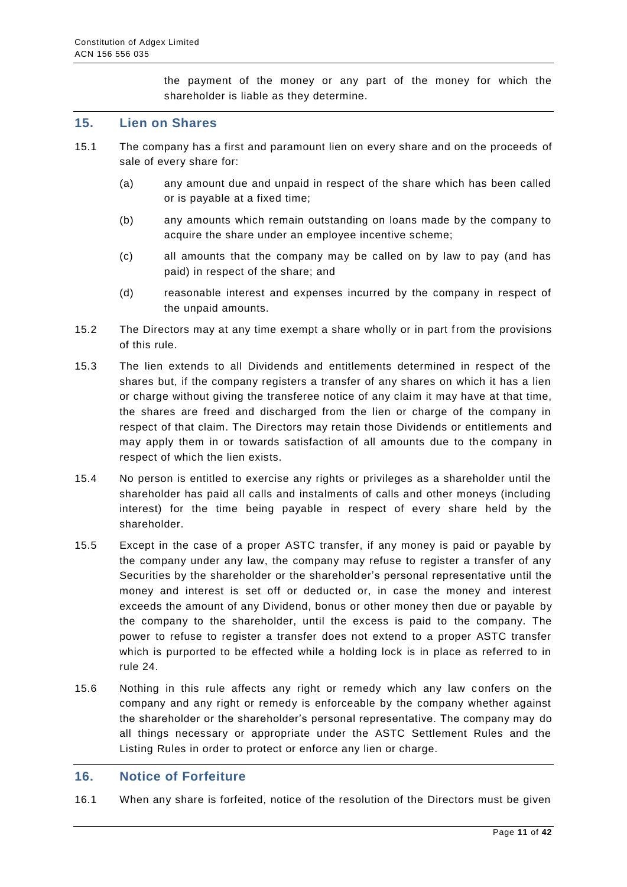the payment of the money or any part of the money for which the shareholder is liable as they determine.

#### <span id="page-10-0"></span>**15. Lien on Shares**

- 15.1 The company has a first and paramount lien on every share and on the proceeds of sale of every share for:
	- (a) any amount due and unpaid in respect of the share which has been called or is payable at a fixed time;
	- (b) any amounts which remain outstanding on loans made by the company to acquire the share under an employee incentive scheme;
	- (c) all amounts that the company may be called on by law to pay (and has paid) in respect of the share; and
	- (d) reasonable interest and expenses incurred by the company in respect of the unpaid amounts.
- 15.2 The Directors may at any time exempt a share wholly or in part from the provisions of this rule.
- 15.3 The lien extends to all Dividends and entitlements determined in respect of the shares but, if the company registers a transfer of any shares on which it has a lien or charge without giving the transferee notice of any claim it may have at that time, the shares are freed and discharged from the lien or charge of the company in respect of that claim. The Directors may retain those Dividends or entitlements and may apply them in or towards satisfaction of all amounts due to the company in respect of which the lien exists.
- 15.4 No person is entitled to exercise any rights or privileges as a shareholder until the shareholder has paid all calls and instalments of calls and other moneys (including interest) for the time being payable in respect of every share held by the shareholder.
- 15.5 Except in the case of a proper ASTC transfer, if any money is paid or payable by the company under any law, the company may refuse to register a transfer of any Securities by the shareholder or the shareholder's personal representative until the money and interest is set off or deducted or, in case the money and interest exceeds the amount of any Dividend, bonus or other money then due or payable by the company to the shareholder, until the excess is paid to the company. The power to refuse to register a transfer does not extend to a proper ASTC transfer which is purported to be effected while a holding lock is in place as referred to in rule 24.
- 15.6 Nothing in this rule affects any right or remedy which any law confers on the company and any right or remedy is enforceable by the company whether against the shareholder or the shareholder's personal representative. The company may do all things necessary or appropriate under the ASTC Settlement Rules and the Listing Rules in order to protect or enforce any lien or charge.

#### <span id="page-10-1"></span>**16. Notice of Forfeiture**

16.1 When any share is forfeited, notice of the resolution of the Directors must be given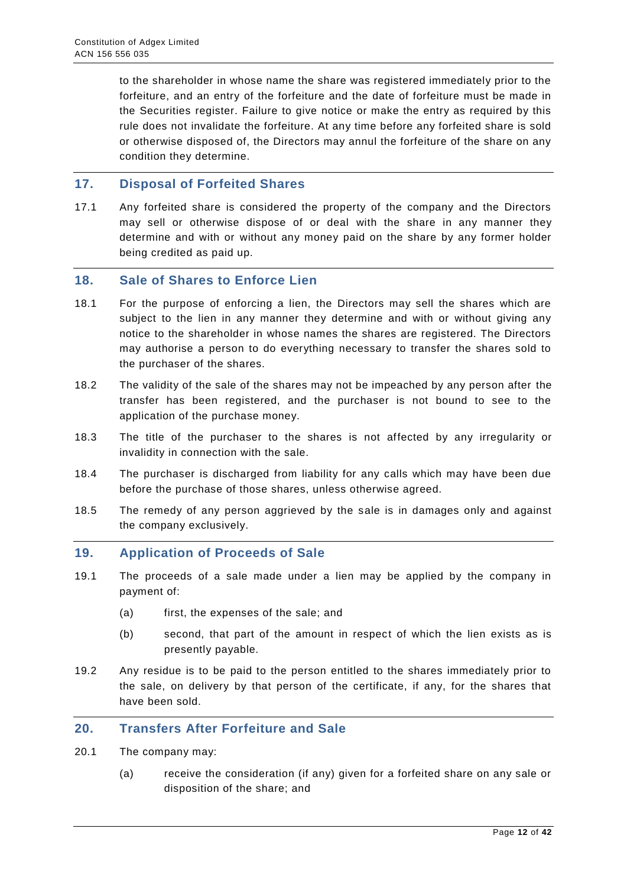to the shareholder in whose name the share was registered immediately prior to the forfeiture, and an entry of the forfeiture and the date of forfeiture must be made in the Securities register. Failure to give notice or make the entry as required by this rule does not invalidate the forfeiture. At any time before any forfeited share is sold or otherwise disposed of, the Directors may annul the forfeiture of the share on any condition they determine.

#### <span id="page-11-0"></span>**17. Disposal of Forfeited Shares**

17.1 Any forfeited share is considered the property of the company and the Directors may sell or otherwise dispose of or deal with the share in any manner they determine and with or without any money paid on the share by any former holder being credited as paid up.

#### <span id="page-11-1"></span>**18. Sale of Shares to Enforce Lien**

- 18.1 For the purpose of enforcing a lien, the Directors may sell the shares which are subject to the lien in any manner they determine and with or without giving any notice to the shareholder in whose names the shares are registered. The Directors may authorise a person to do everything necessary to transfer the shares sold to the purchaser of the shares.
- 18.2 The validity of the sale of the shares may not be impeached by any person after the transfer has been registered, and the purchaser is not bound to see to the application of the purchase money.
- 18.3 The title of the purchaser to the shares is not affected by any irregularity or invalidity in connection with the sale.
- 18.4 The purchaser is discharged from liability for any calls which may have been due before the purchase of those shares, unless otherwise agreed.
- 18.5 The remedy of any person aggrieved by the sale is in damages only and against the company exclusively.

#### <span id="page-11-2"></span>**19. Application of Proceeds of Sale**

- 19.1 The proceeds of a sale made under a lien may be applied by the company in payment of:
	- (a) first, the expenses of the sale; and
	- (b) second, that part of the amount in respect of which the lien exists as is presently payable.
- 19.2 Any residue is to be paid to the person entitled to the shares immediately prior to the sale, on delivery by that person of the certificate, if any, for the shares that have been sold.

#### <span id="page-11-3"></span>**20. Transfers After Forfeiture and Sale**

- 20.1 The company may:
	- (a) receive the consideration (if any) given for a forfeited share on any sale or disposition of the share; and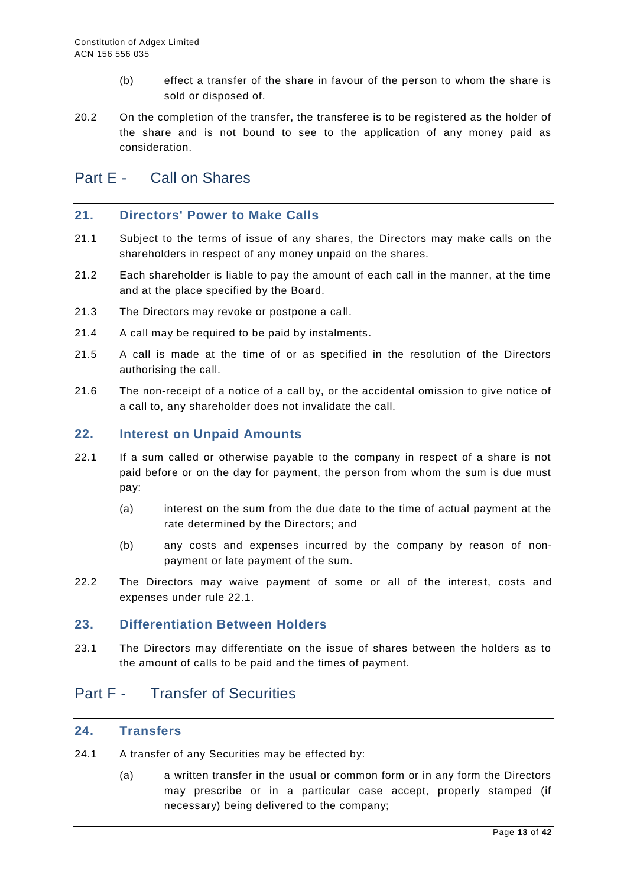- (b) effect a transfer of the share in favour of the person to whom the share is sold or disposed of.
- 20.2 On the completion of the transfer, the transferee is to be registered as the holder of the share and is not bound to see to the application of any money paid as consideration.

## <span id="page-12-0"></span>Part E - Call on Shares

#### <span id="page-12-1"></span>**21. Directors' Power to Make Calls**

- 21.1 Subject to the terms of issue of any shares, the Directors may make calls on the shareholders in respect of any money unpaid on the shares.
- 21.2 Each shareholder is liable to pay the amount of each call in the manner, at the time and at the place specified by the Board.
- 21.3 The Directors may revoke or postpone a call.
- 21.4 A call may be required to be paid by instalments.
- 21.5 A call is made at the time of or as specified in the resolution of the Directors authorising the call.
- 21.6 The non-receipt of a notice of a call by, or the accidental omission to give notice of a call to, any shareholder does not invalidate the call.

#### <span id="page-12-2"></span>**22. Interest on Unpaid Amounts**

- 22.1 If a sum called or otherwise payable to the company in respect of a share is not paid before or on the day for payment, the person from whom the sum is due must pay:
	- (a) interest on the sum from the due date to the time of actual payment at the rate determined by the Directors; and
	- (b) any costs and expenses incurred by the company by reason of nonpayment or late payment of the sum.
- 22.2 The Directors may waive payment of some or all of the interest, costs and expenses under rule 22.1.

#### <span id="page-12-3"></span>**23. Differentiation Between Holders**

23.1 The Directors may differentiate on the issue of shares between the holders as to the amount of calls to be paid and the times of payment.

# <span id="page-12-4"></span>Part F - Transfer of Securities

#### <span id="page-12-5"></span>**24. Transfers**

- 24.1 A transfer of any Securities may be effected by:
	- (a) a written transfer in the usual or common form or in any form the Directors may prescribe or in a particular case accept, properly stamped (if necessary) being delivered to the company;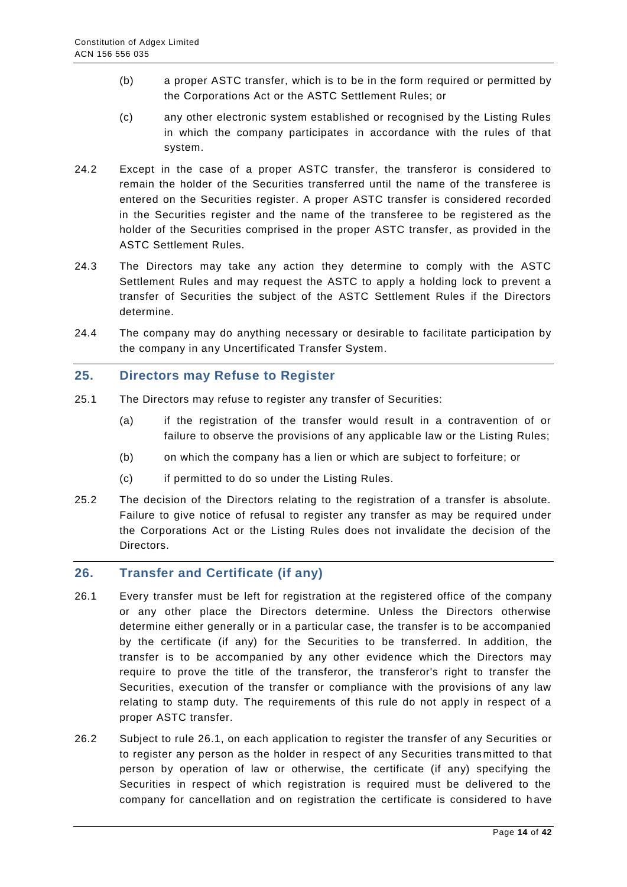- (b) a proper ASTC transfer, which is to be in the form required or permitted by the Corporations Act or the ASTC Settlement Rules; or
- (c) any other electronic system established or recognised by the Listing Rules in which the company participates in accordance with the rules of that system.
- 24.2 Except in the case of a proper ASTC transfer, the transferor is considered to remain the holder of the Securities transferred until the name of the transferee is entered on the Securities register. A proper ASTC transfer is considered recorded in the Securities register and the name of the transferee to be registered as the holder of the Securities comprised in the proper ASTC transfer, as provided in the ASTC Settlement Rules.
- 24.3 The Directors may take any action they determine to comply with the ASTC Settlement Rules and may request the ASTC to apply a holding lock to prevent a transfer of Securities the subject of the ASTC Settlement Rules if the Directors determine.
- 24.4 The company may do anything necessary or desirable to facilitate participation by the company in any Uncertificated Transfer System.

#### <span id="page-13-0"></span>**25. Directors may Refuse to Register**

- 25.1 The Directors may refuse to register any transfer of Securities:
	- (a) if the registration of the transfer would result in a contravention of or failure to observe the provisions of any applicable law or the Listing Rules;
	- (b) on which the company has a lien or which are subject to forfeiture; or
	- (c) if permitted to do so under the Listing Rules.
- 25.2 The decision of the Directors relating to the registration of a transfer is absolute. Failure to give notice of refusal to register any transfer as may be required under the Corporations Act or the Listing Rules does not invalidate the decision of the Directors.

#### <span id="page-13-1"></span>**26. Transfer and Certificate (if any)**

- 26.1 Every transfer must be left for registration at the registered office of the company or any other place the Directors determine. Unless the Directors otherwise determine either generally or in a particular case, the transfer is to be accompanied by the certificate (if any) for the Securities to be transferred. In addition, the transfer is to be accompanied by any other evidence which the Directors may require to prove the title of the transferor, the transferor's right to transfer the Securities, execution of the transfer or compliance with the provisions of any law relating to stamp duty. The requirements of this rule do not apply in respect of a proper ASTC transfer.
- 26.2 Subject to rule 26.1, on each application to register the transfer of any Securities or to register any person as the holder in respect of any Securities trans mitted to that person by operation of law or otherwise, the certificate (if any) specifying the Securities in respect of which registration is required must be delivered to the company for cancellation and on registration the certificate is considered to h ave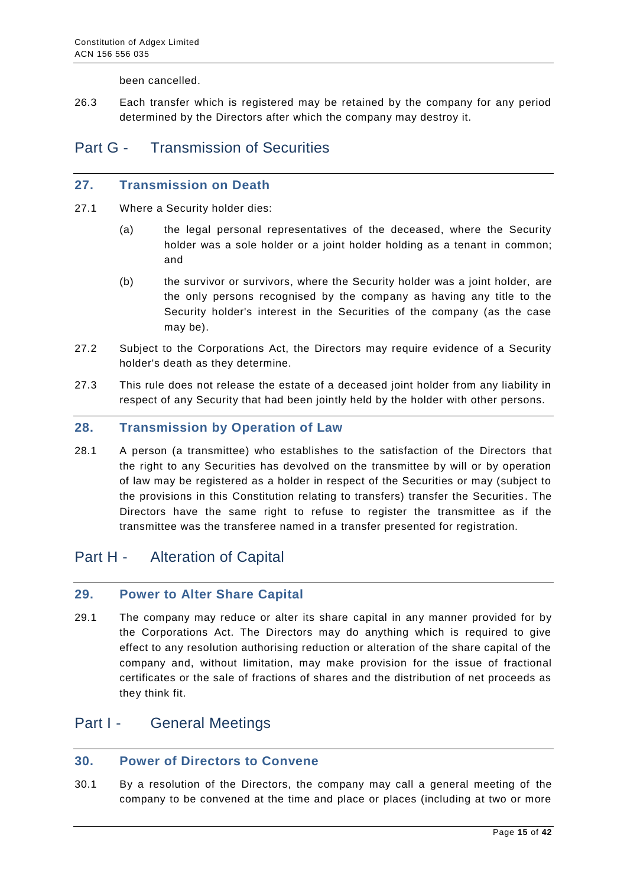been cancelled.

26.3 Each transfer which is registered may be retained by the company for any period determined by the Directors after which the company may destroy it.

## <span id="page-14-0"></span>Part G - Transmission of Securities

#### <span id="page-14-1"></span>**27. Transmission on Death**

- 27.1 Where a Security holder dies:
	- (a) the legal personal representatives of the deceased, where the Security holder was a sole holder or a joint holder holding as a tenant in common; and
	- (b) the survivor or survivors, where the Security holder was a joint holder, are the only persons recognised by the company as having any title to the Security holder's interest in the Securities of the company (as the case may be).
- 27.2 Subject to the Corporations Act, the Directors may require evidence of a Security holder's death as they determine.
- 27.3 This rule does not release the estate of a deceased joint holder from any liability in respect of any Security that had been jointly held by the holder with other persons.

#### <span id="page-14-2"></span>**28. Transmission by Operation of Law**

28.1 A person (a transmittee) who establishes to the satisfaction of the Directors that the right to any Securities has devolved on the transmittee by will or by operation of law may be registered as a holder in respect of the Securities or may (subject to the provisions in this Constitution relating to transfers) transfer the Securities . The Directors have the same right to refuse to register the transmittee as if the transmittee was the transferee named in a transfer presented for registration.

## <span id="page-14-3"></span>Part H - Alteration of Capital

#### <span id="page-14-4"></span>**29. Power to Alter Share Capital**

29.1 The company may reduce or alter its share capital in any manner provided for by the Corporations Act. The Directors may do anything which is required to give effect to any resolution authorising reduction or alteration of the share capital of the company and, without limitation, may make provision for the issue of fractional certificates or the sale of fractions of shares and the distribution of net proceeds as they think fit.

## <span id="page-14-5"></span>Part I - General Meetings

#### <span id="page-14-6"></span>**30. Power of Directors to Convene**

30.1 By a resolution of the Directors, the company may call a general meeting of the company to be convened at the time and place or places (including at two or more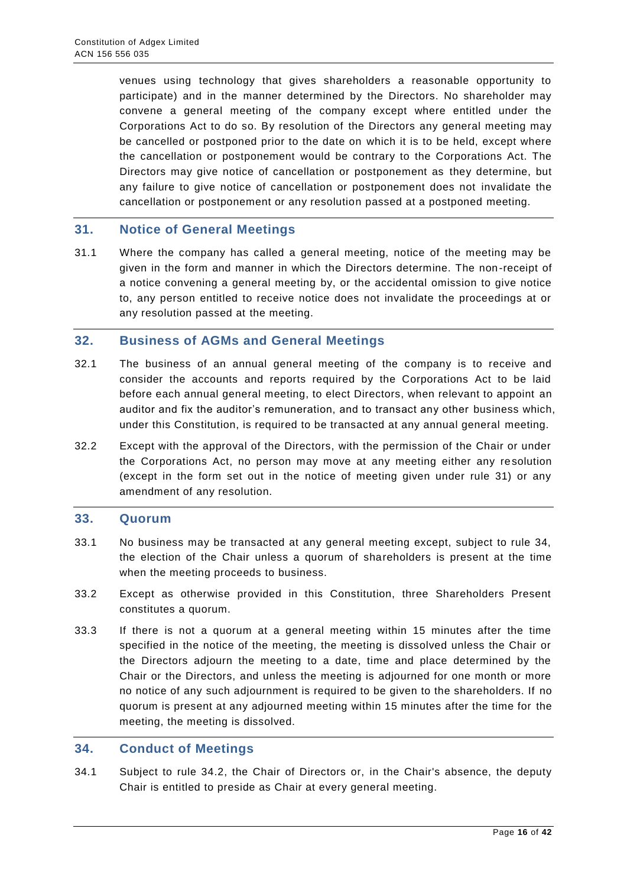venues using technology that gives shareholders a reasonable opportunity to participate) and in the manner determined by the Directors. No shareholder may convene a general meeting of the company except where entitled under the Corporations Act to do so. By resolution of the Directors any general meeting may be cancelled or postponed prior to the date on which it is to be held, except where the cancellation or postponement would be contrary to the Corporations Act. The Directors may give notice of cancellation or postponement as they determine, but any failure to give notice of cancellation or postponement does not invalidate the cancellation or postponement or any resolution passed at a postponed meeting.

#### <span id="page-15-0"></span>**31. Notice of General Meetings**

31.1 Where the company has called a general meeting, notice of the meeting may be given in the form and manner in which the Directors determine. The non-receipt of a notice convening a general meeting by, or the accidental omission to give notice to, any person entitled to receive notice does not invalidate the proceedings at or any resolution passed at the meeting.

#### <span id="page-15-1"></span>**32. Business of AGMs and General Meetings**

- 32.1 The business of an annual general meeting of the company is to receive and consider the accounts and reports required by the Corporations Act to be laid before each annual general meeting, to elect Directors, when relevant to appoint an auditor and fix the auditor's remuneration, and to transact any other business which, under this Constitution, is required to be transacted at any annual general meeting.
- 32.2 Except with the approval of the Directors, with the permission of the Chair or under the Corporations Act, no person may move at any meeting either any resolution (except in the form set out in the notice of meeting given under rule 31) or any amendment of any resolution.

#### <span id="page-15-2"></span>**33. Quorum**

- 33.1 No business may be transacted at any general meeting except, subject to rule 34, the election of the Chair unless a quorum of shareholders is present at the time when the meeting proceeds to business.
- 33.2 Except as otherwise provided in this Constitution, three Shareholders Present constitutes a quorum.
- 33.3 If there is not a quorum at a general meeting within 15 minutes after the time specified in the notice of the meeting, the meeting is dissolved unless the Chair or the Directors adjourn the meeting to a date, time and place determined by the Chair or the Directors, and unless the meeting is adjourned for one month or more no notice of any such adjournment is required to be given to the shareholders. If no quorum is present at any adjourned meeting within 15 minutes after the time for the meeting, the meeting is dissolved.

#### <span id="page-15-3"></span>**34. Conduct of Meetings**

34.1 Subject to rule 34.2, the Chair of Directors or, in the Chair's absence, the deputy Chair is entitled to preside as Chair at every general meeting.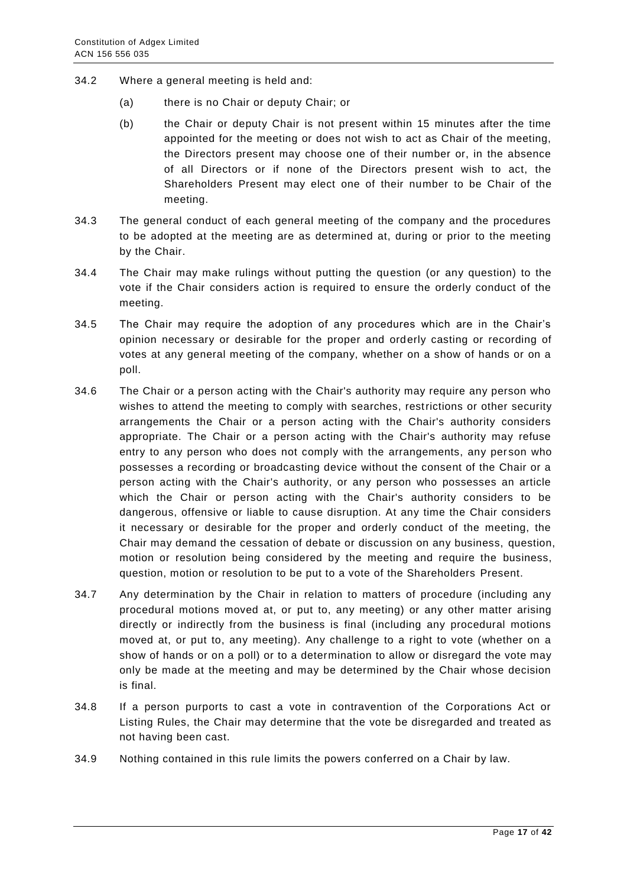- 34.2 Where a general meeting is held and:
	- (a) there is no Chair or deputy Chair; or
	- (b) the Chair or deputy Chair is not present within 15 minutes after the time appointed for the meeting or does not wish to act as Chair of the meeting, the Directors present may choose one of their number or, in the absence of all Directors or if none of the Directors present wish to act, the Shareholders Present may elect one of their number to be Chair of the meeting.
- 34.3 The general conduct of each general meeting of the company and the procedures to be adopted at the meeting are as determined at, during or prior to the meeting by the Chair.
- 34.4 The Chair may make rulings without putting the question (or any question) to the vote if the Chair considers action is required to ensure the orderly conduct of the meeting.
- 34.5 The Chair may require the adoption of any procedures which are in the Chair's opinion necessary or desirable for the proper and orderly casting or recording of votes at any general meeting of the company, whether on a show of hands or on a poll.
- 34.6 The Chair or a person acting with the Chair's authority may require any person who wishes to attend the meeting to comply with searches, restrictions or other security arrangements the Chair or a person acting with the Chair's authority considers appropriate. The Chair or a person acting with the Chair's authority may refuse entry to any person who does not comply with the arrangements, any person who possesses a recording or broadcasting device without the consent of the Chair or a person acting with the Chair's authority, or any person who possesses an article which the Chair or person acting with the Chair's authority considers to be dangerous, offensive or liable to cause disruption. At any time the Chair considers it necessary or desirable for the proper and orderly conduct of the meeting, the Chair may demand the cessation of debate or discussion on any business, question, motion or resolution being considered by the meeting and require the business, question, motion or resolution to be put to a vote of the Shareholders Present.
- 34.7 Any determination by the Chair in relation to matters of procedure (including any procedural motions moved at, or put to, any meeting) or any other matter arising directly or indirectly from the business is final (including any procedural motions moved at, or put to, any meeting). Any challenge to a right to vote (whether on a show of hands or on a poll) or to a determination to allow or disregard the vote may only be made at the meeting and may be determined by the Chair whose decision is final.
- 34.8 If a person purports to cast a vote in contravention of the Corporations Act or Listing Rules, the Chair may determine that the vote be disregarded and treated as not having been cast.
- 34.9 Nothing contained in this rule limits the powers conferred on a Chair by law.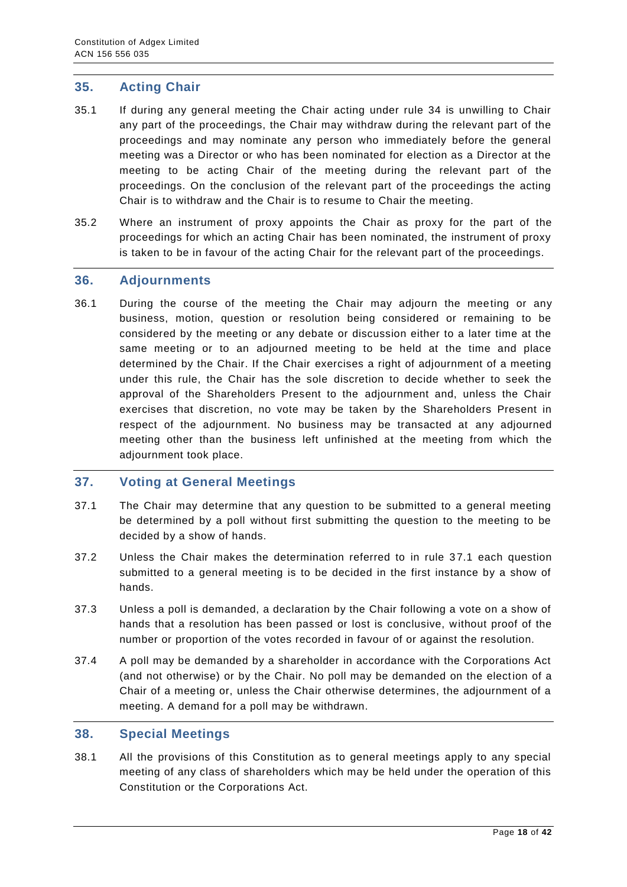#### <span id="page-17-0"></span>**35. Acting Chair**

- 35.1 If during any general meeting the Chair acting under rule 34 is unwilling to Chair any part of the proceedings, the Chair may withdraw during the relevant part of the proceedings and may nominate any person who immediately before the general meeting was a Director or who has been nominated for election as a Director at the meeting to be acting Chair of the meeting during the relevant part of the proceedings. On the conclusion of the relevant part of the proceedings the acting Chair is to withdraw and the Chair is to resume to Chair the meeting.
- 35.2 Where an instrument of proxy appoints the Chair as proxy for the part of the proceedings for which an acting Chair has been nominated, the instrument of proxy is taken to be in favour of the acting Chair for the relevant part of the proceedings.

#### <span id="page-17-1"></span>**36. Adjournments**

36.1 During the course of the meeting the Chair may adjourn the meeting or any business, motion, question or resolution being considered or remaining to be considered by the meeting or any debate or discussion either to a later time at the same meeting or to an adjourned meeting to be held at the time and place determined by the Chair. If the Chair exercises a right of adjournment of a meeting under this rule, the Chair has the sole discretion to decide whether to seek the approval of the Shareholders Present to the adjournment and, unless the Chair exercises that discretion, no vote may be taken by the Shareholders Present in respect of the adjournment. No business may be transacted at any adjourned meeting other than the business left unfinished at the meeting from which the adjournment took place.

#### <span id="page-17-2"></span>**37. Voting at General Meetings**

- 37.1 The Chair may determine that any question to be submitted to a general meeting be determined by a poll without first submitting the question to the meeting to be decided by a show of hands.
- 37.2 Unless the Chair makes the determination referred to in rule 37.1 each question submitted to a general meeting is to be decided in the first instance by a show of hands.
- 37.3 Unless a poll is demanded, a declaration by the Chair following a vote on a show of hands that a resolution has been passed or lost is conclusive, without proof of the number or proportion of the votes recorded in favour of or against the resolution.
- 37.4 A poll may be demanded by a shareholder in accordance with the Corporations Act (and not otherwise) or by the Chair. No poll may be demanded on the election of a Chair of a meeting or, unless the Chair otherwise determines, the adjournment of a meeting. A demand for a poll may be withdrawn.

#### <span id="page-17-3"></span>**38. Special Meetings**

38.1 All the provisions of this Constitution as to general meetings apply to any special meeting of any class of shareholders which may be held under the operation of this Constitution or the Corporations Act.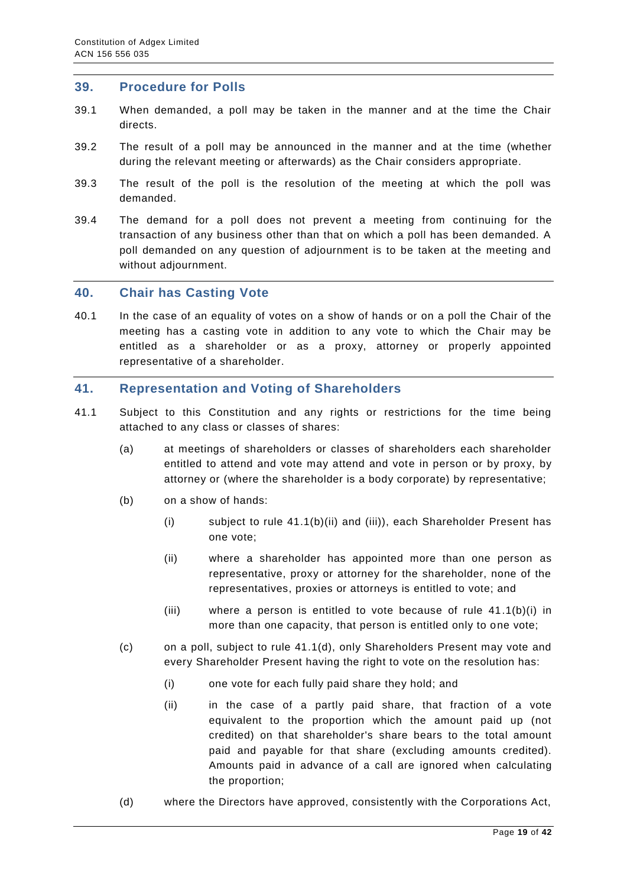#### <span id="page-18-0"></span>**39. Procedure for Polls**

- 39.1 When demanded, a poll may be taken in the manner and at the time the Chair directs.
- 39.2 The result of a poll may be announced in the manner and at the time (whether during the relevant meeting or afterwards) as the Chair considers appropriate.
- 39.3 The result of the poll is the resolution of the meeting at which the poll was demanded.
- 39.4 The demand for a poll does not prevent a meeting from continuing for the transaction of any business other than that on which a poll has been demanded. A poll demanded on any question of adjournment is to be taken at the meeting and without adjournment.

#### <span id="page-18-1"></span>**40. Chair has Casting Vote**

40.1 In the case of an equality of votes on a show of hands or on a poll the Chair of the meeting has a casting vote in addition to any vote to which the Chair may be entitled as a shareholder or as a proxy, attorney or properly appointed representative of a shareholder.

#### <span id="page-18-2"></span>**41. Representation and Voting of Shareholders**

- 41.1 Subject to this Constitution and any rights or restrictions for the time being attached to any class or classes of shares:
	- (a) at meetings of shareholders or classes of shareholders each shareholder entitled to attend and vote may attend and vote in person or by proxy, by attorney or (where the shareholder is a body corporate) by representative;
	- (b) on a show of hands:
		- (i) subject to rule 41.1(b)(ii) and (iii)), each Shareholder Present has one vote;
		- (ii) where a shareholder has appointed more than one person as representative, proxy or attorney for the shareholder, none of the representatives, proxies or attorneys is entitled to vote; and
		- (iii) where a person is entitled to vote because of rule 41.1(b)(i) in more than one capacity, that person is entitled only to one vote;
	- (c) on a poll, subject to rule 41.1(d), only Shareholders Present may vote and every Shareholder Present having the right to vote on the resolution has:
		- (i) one vote for each fully paid share they hold; and
		- (ii) in the case of a partly paid share, that fraction of a vote equivalent to the proportion which the amount paid up (not credited) on that shareholder's share bears to the total amount paid and payable for that share (excluding amounts credited). Amounts paid in advance of a call are ignored when calculating the proportion;
	- (d) where the Directors have approved, consistently with the Corporations Act,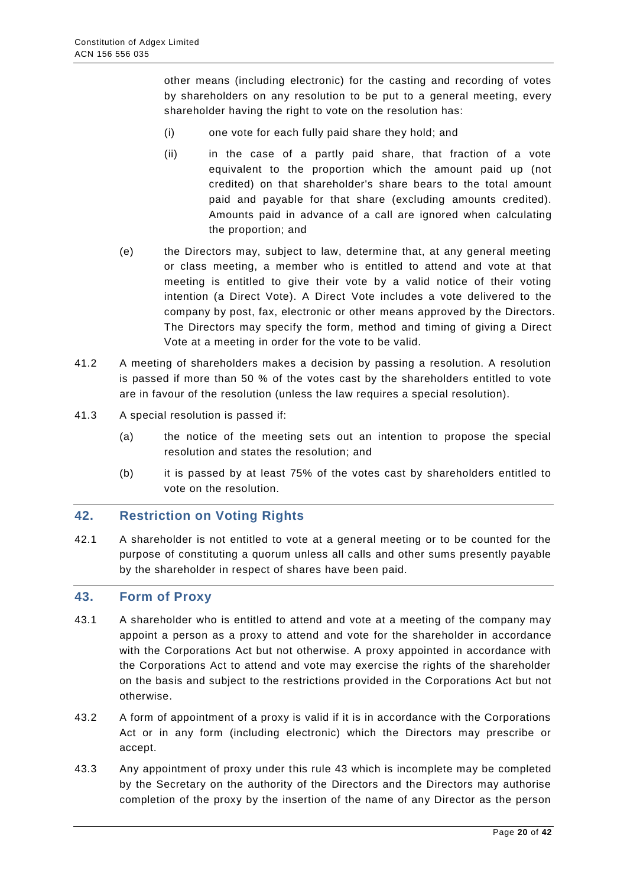other means (including electronic) for the casting and recording of votes by shareholders on any resolution to be put to a general meeting, every shareholder having the right to vote on the resolution has:

- (i) one vote for each fully paid share they hold; and
- (ii) in the case of a partly paid share, that fraction of a vote equivalent to the proportion which the amount paid up (not credited) on that shareholder's share bears to the total amount paid and payable for that share (excluding amounts credited). Amounts paid in advance of a call are ignored when calculating the proportion; and
- (e) the Directors may, subject to law, determine that, at any general meeting or class meeting, a member who is entitled to attend and vote at that meeting is entitled to give their vote by a valid notice of their voting intention (a Direct Vote). A Direct Vote includes a vote delivered to the company by post, fax, electronic or other means approved by the Directors. The Directors may specify the form, method and timing of giving a Direct Vote at a meeting in order for the vote to be valid.
- 41.2 A meeting of shareholders makes a decision by passing a resolution. A resolution is passed if more than 50 % of the votes cast by the shareholders entitled to vote are in favour of the resolution (unless the law requires a special resolution).
- 41.3 A special resolution is passed if:
	- (a) the notice of the meeting sets out an intention to propose the special resolution and states the resolution; and
	- (b) it is passed by at least 75% of the votes cast by shareholders entitled to vote on the resolution.

#### <span id="page-19-0"></span>**42. Restriction on Voting Rights**

42.1 A shareholder is not entitled to vote at a general meeting or to be counted for the purpose of constituting a quorum unless all calls and other sums presently payable by the shareholder in respect of shares have been paid.

#### <span id="page-19-1"></span>**43. Form of Proxy**

- 43.1 A shareholder who is entitled to attend and vote at a meeting of the company may appoint a person as a proxy to attend and vote for the shareholder in accordance with the Corporations Act but not otherwise. A proxy appointed in accordance with the Corporations Act to attend and vote may exercise the rights of the shareholder on the basis and subject to the restrictions provided in the Corporations Act but not otherwise.
- 43.2 A form of appointment of a proxy is valid if it is in accordance with the Corporations Act or in any form (including electronic) which the Directors may prescribe or accept.
- 43.3 Any appointment of proxy under this rule 43 which is incomplete may be completed by the Secretary on the authority of the Directors and the Directors may authorise completion of the proxy by the insertion of the name of any Director as the person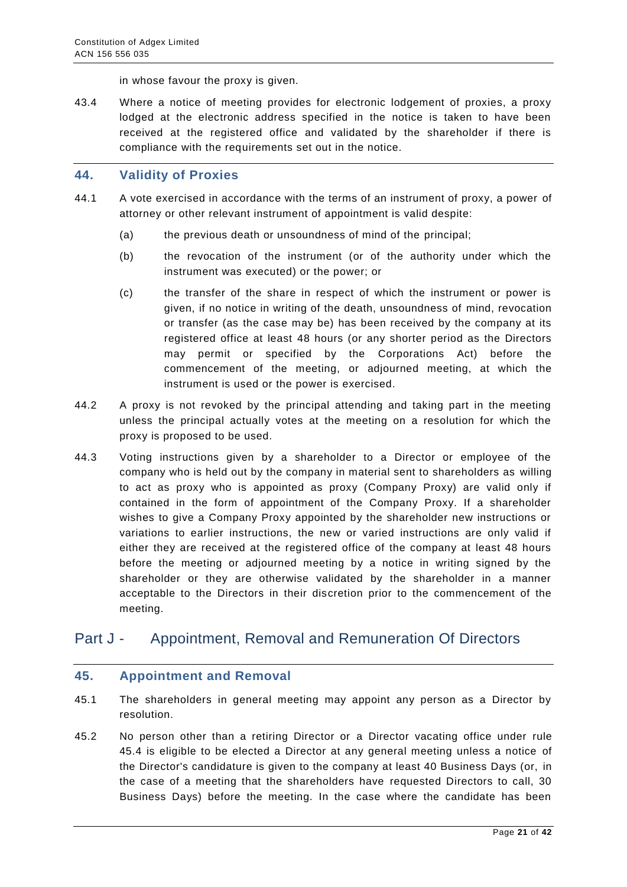in whose favour the proxy is given.

43.4 Where a notice of meeting provides for electronic lodgement of proxies, a proxy lodged at the electronic address specified in the notice is taken to have been received at the registered office and validated by the shareholder if there is compliance with the requirements set out in the notice.

#### <span id="page-20-0"></span>**44. Validity of Proxies**

- 44.1 A vote exercised in accordance with the terms of an instrument of proxy, a power of attorney or other relevant instrument of appointment is valid despite:
	- (a) the previous death or unsoundness of mind of the principal;
	- (b) the revocation of the instrument (or of the authority under which the instrument was executed) or the power; or
	- (c) the transfer of the share in respect of which the instrument or power is given, if no notice in writing of the death, unsoundness of mind, revocation or transfer (as the case may be) has been received by the company at its registered office at least 48 hours (or any shorter period as the Directors may permit or specified by the Corporations Act) before the commencement of the meeting, or adjourned meeting, at which the instrument is used or the power is exercised.
- 44.2 A proxy is not revoked by the principal attending and taking part in the meeting unless the principal actually votes at the meeting on a resolution for which the proxy is proposed to be used.
- 44.3 Voting instructions given by a shareholder to a Director or employee of the company who is held out by the company in material sent to shareholders as willing to act as proxy who is appointed as proxy (Company Proxy) are valid only if contained in the form of appointment of the Company Proxy. If a shareholder wishes to give a Company Proxy appointed by the shareholder new instructions or variations to earlier instructions, the new or varied instructions are only valid if either they are received at the registered office of the company at least 48 hours before the meeting or adjourned meeting by a notice in writing signed by the shareholder or they are otherwise validated by the shareholder in a manner acceptable to the Directors in their discretion prior to the commencement of the meeting.

## <span id="page-20-1"></span>Part J - Appointment, Removal and Remuneration Of Directors

#### <span id="page-20-2"></span>**45. Appointment and Removal**

- 45.1 The shareholders in general meeting may appoint any person as a Director by resolution.
- 45.2 No person other than a retiring Director or a Director vacating office under rule 45.4 is eligible to be elected a Director at any general meeting unless a notice of the Director's candidature is given to the company at least 40 Business Days (or, in the case of a meeting that the shareholders have requested Directors to call, 30 Business Days) before the meeting. In the case where the candidate has been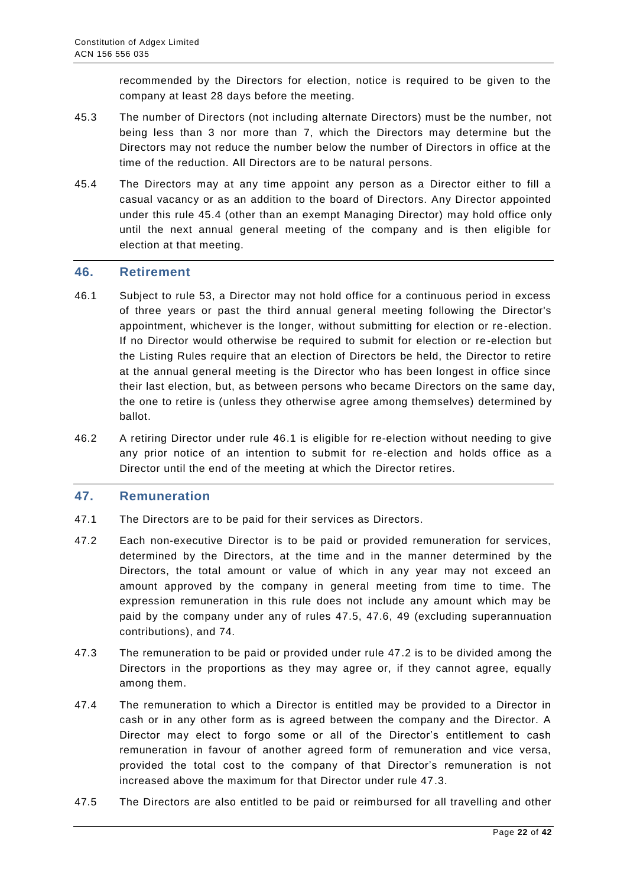recommended by the Directors for election, notice is required to be given to the company at least 28 days before the meeting.

- 45.3 The number of Directors (not including alternate Directors) must be the number, not being less than 3 nor more than 7, which the Directors may determine but the Directors may not reduce the number below the number of Directors in office at the time of the reduction. All Directors are to be natural persons.
- 45.4 The Directors may at any time appoint any person as a Director either to fill a casual vacancy or as an addition to the board of Directors. Any Director appointed under this rule 45.4 (other than an exempt Managing Director) may hold office only until the next annual general meeting of the company and is then eligible for election at that meeting.

#### <span id="page-21-0"></span>**46. Retirement**

- 46.1 Subject to rule 53, a Director may not hold office for a continuous period in excess of three years or past the third annual general meeting following the Director's appointment, whichever is the longer, without submitting for election or re -election. If no Director would otherwise be required to submit for election or re-election but the Listing Rules require that an election of Directors be held, the Director to retire at the annual general meeting is the Director who has been longest in office since their last election, but, as between persons who became Directors on the same day, the one to retire is (unless they otherwise agree among themselves) determined by ballot.
- 46.2 A retiring Director under rule 46.1 is eligible for re-election without needing to give any prior notice of an intention to submit for re-election and holds office as a Director until the end of the meeting at which the Director retires.

#### <span id="page-21-1"></span>**47. Remuneration**

- 47.1 The Directors are to be paid for their services as Directors.
- 47.2 Each non-executive Director is to be paid or provided remuneration for services, determined by the Directors, at the time and in the manner determined by the Directors, the total amount or value of which in any year may not exceed an amount approved by the company in general meeting from time to time. The expression remuneration in this rule does not include any amount which may be paid by the company under any of rules 47.5, 47.6, 49 (excluding superannuation contributions), and 74.
- 47.3 The remuneration to be paid or provided under rule 47.2 is to be divided among the Directors in the proportions as they may agree or, if they cannot agree, equally among them.
- 47.4 The remuneration to which a Director is entitled may be provided to a Director in cash or in any other form as is agreed between the company and the Director. A Director may elect to forgo some or all of the Director's entitlement to cash remuneration in favour of another agreed form of remuneration and vice versa, provided the total cost to the company of that Director's remuneration is not increased above the maximum for that Director under rule 47.3.
- 47.5 The Directors are also entitled to be paid or reimbursed for all travelling and other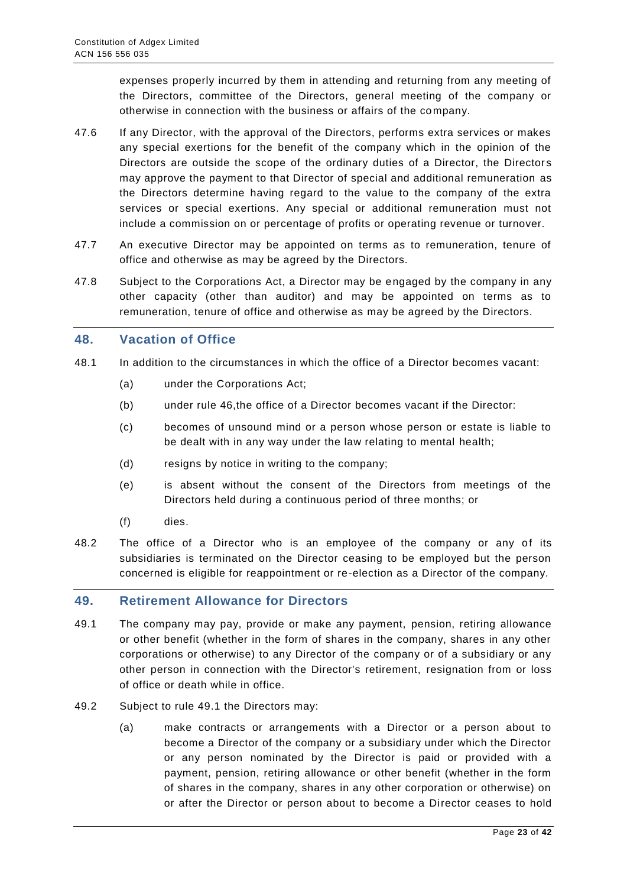expenses properly incurred by them in attending and returning from any meeting of the Directors, committee of the Directors, general meeting of the company or otherwise in connection with the business or affairs of the company.

- 47.6 If any Director, with the approval of the Directors, performs extra services or makes any special exertions for the benefit of the company which in the opinion of the Directors are outside the scope of the ordinary duties of a Director, the Director s may approve the payment to that Director of special and additional remuneration as the Directors determine having regard to the value to the company of the extra services or special exertions. Any special or additional remuneration must not include a commission on or percentage of profits or operating revenue or turnover.
- 47.7 An executive Director may be appointed on terms as to remuneration, tenure of office and otherwise as may be agreed by the Directors.
- 47.8 Subject to the Corporations Act, a Director may be engaged by the company in any other capacity (other than auditor) and may be appointed on terms as to remuneration, tenure of office and otherwise as may be agreed by the Directors.

#### <span id="page-22-0"></span>**48. Vacation of Office**

- 48.1 In addition to the circumstances in which the office of a Director becomes vacant:
	- (a) under the Corporations Act;
	- (b) under rule 46,the office of a Director becomes vacant if the Director:
	- (c) becomes of unsound mind or a person whose person or estate is liable to be dealt with in any way under the law relating to mental health;
	- (d) resigns by notice in writing to the company;
	- (e) is absent without the consent of the Directors from meetings of the Directors held during a continuous period of three months; or
	- (f) dies.
- 48.2 The office of a Director who is an employee of the company or any of its subsidiaries is terminated on the Director ceasing to be employed but the person concerned is eligible for reappointment or re-election as a Director of the company.

#### <span id="page-22-1"></span>**49. Retirement Allowance for Directors**

- 49.1 The company may pay, provide or make any payment, pension, retiring allowance or other benefit (whether in the form of shares in the company, shares in any other corporations or otherwise) to any Director of the company or of a subsidiary or any other person in connection with the Director's retirement, resignation from or loss of office or death while in office.
- 49.2 Subject to rule 49.1 the Directors may:
	- (a) make contracts or arrangements with a Director or a person about to become a Director of the company or a subsidiary under which the Director or any person nominated by the Director is paid or provided with a payment, pension, retiring allowance or other benefit (whether in the form of shares in the company, shares in any other corporation or otherwise) on or after the Director or person about to become a Director ceases to hold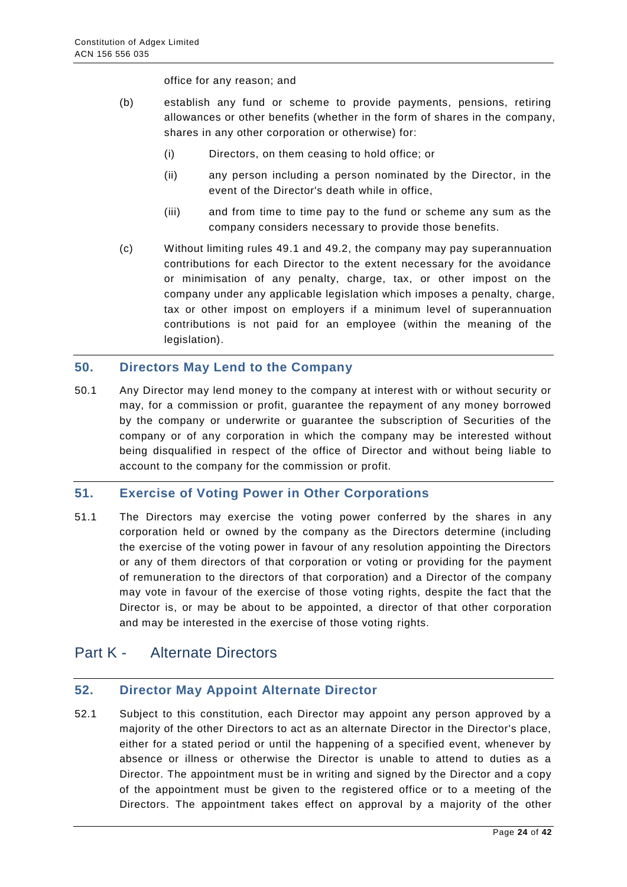office for any reason; and

- (b) establish any fund or scheme to provide payments, pensions, retiring allowances or other benefits (whether in the form of shares in the company, shares in any other corporation or otherwise) for:
	- (i) Directors, on them ceasing to hold office; or
	- (ii) any person including a person nominated by the Director, in the event of the Director's death while in office,
	- (iii) and from time to time pay to the fund or scheme any sum as the company considers necessary to provide those benefits.
- (c) Without limiting rules 49.1 and 49.2, the company may pay superannuation contributions for each Director to the extent necessary for the avoidance or minimisation of any penalty, charge, tax, or other impost on the company under any applicable legislation which imposes a penalty, charge, tax or other impost on employers if a minimum level of superannuation contributions is not paid for an employee (within the meaning of the legislation).

#### <span id="page-23-0"></span>**50. Directors May Lend to the Company**

50.1 Any Director may lend money to the company at interest with or without security or may, for a commission or profit, guarantee the repayment of any money borrowed by the company or underwrite or guarantee the subscription of Securities of the company or of any corporation in which the company may be interested without being disqualified in respect of the office of Director and without being liable to account to the company for the commission or profit.

#### <span id="page-23-1"></span>**51. Exercise of Voting Power in Other Corporations**

51.1 The Directors may exercise the voting power conferred by the shares in any corporation held or owned by the company as the Directors determine (including the exercise of the voting power in favour of any resolution appointing the Directors or any of them directors of that corporation or voting or providing for the payment of remuneration to the directors of that corporation) and a Director of the company may vote in favour of the exercise of those voting rights, despite the fact that the Director is, or may be about to be appointed, a director of that other corporation and may be interested in the exercise of those voting rights.

## <span id="page-23-2"></span>Part K - Alternate Directors

#### <span id="page-23-3"></span>**52. Director May Appoint Alternate Director**

52.1 Subject to this constitution, each Director may appoint any person approved by a majority of the other Directors to act as an alternate Director in the Director's place, either for a stated period or until the happening of a specified event, whenever by absence or illness or otherwise the Director is unable to attend to duties as a Director. The appointment must be in writing and signed by the Director and a copy of the appointment must be given to the registered office or to a meeting of the Directors. The appointment takes effect on approval by a majority of the other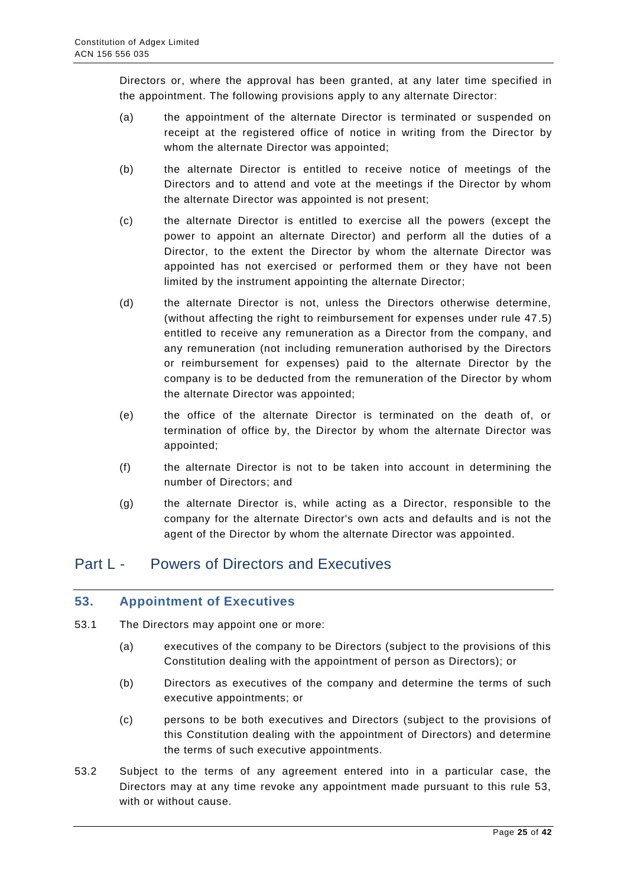Directors or, where the approval has been granted, at any later time specified in the appointment. The following provisions apply to any alternate Director:

- (a) the appointment of the alternate Director is terminated or suspended on receipt at the registered office of notice in writing from the Director by whom the alternate Director was appointed;
- (b) the alternate Director is entitled to receive notice of meetings of the Directors and to attend and vote at the meetings if the Director by whom the alternate Director was appointed is not present;
- (c) the alternate Director is entitled to exercise all the powers (except the power to appoint an alternate Director) and perform all the duties of a Director, to the extent the Director by whom the alternate Director was appointed has not exercised or performed them or they have not been limited by the instrument appointing the alternate Director;
- (d) the alternate Director is not, unless the Directors otherwise determine, (without affecting the right to reimbursement for expenses under rule 47.5) entitled to receive any remuneration as a Director from the company, and any remuneration (not including remuneration authorised by the Directors or reimbursement for expenses) paid to the alternate Director by the company is to be deducted from the remuneration of the Director by whom the alternate Director was appointed;
- (e) the office of the alternate Director is terminated on the death of, or termination of office by, the Director by whom the alternate Director was appointed;
- (f) the alternate Director is not to be taken into account in determining the number of Directors; and
- (g) the alternate Director is, while acting as a Director, responsible to the company for the alternate Director's own acts and defaults and is not the agent of the Director by whom the alternate Director was appointed.

## <span id="page-24-0"></span>Part L - Powers of Directors and Executives

#### <span id="page-24-1"></span>**53. Appointment of Executives**

- 53.1 The Directors may appoint one or more:
	- (a) executives of the company to be Directors (subject to the provisions of this Constitution dealing with the appointment of person as Directors); or
	- (b) Directors as executives of the company and determine the terms of such executive appointments; or
	- (c) persons to be both executives and Directors (subject to the provisions of this Constitution dealing with the appointment of Directors) and determine the terms of such executive appointments.
- 53.2 Subject to the terms of any agreement entered into in a particular case, the Directors may at any time revoke any appointment made pursuant to this rule 53, with or without cause.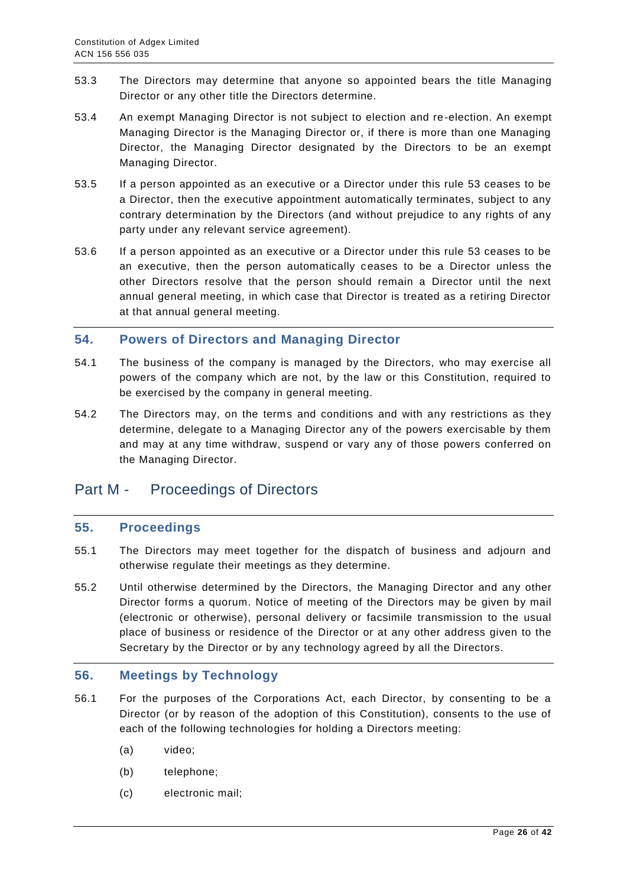- 53.3 The Directors may determine that anyone so appointed bears the title Managing Director or any other title the Directors determine.
- 53.4 An exempt Managing Director is not subject to election and re-election. An exempt Managing Director is the Managing Director or, if there is more than one Managing Director, the Managing Director designated by the Directors to be an exempt Managing Director.
- 53.5 If a person appointed as an executive or a Director under this rule 53 ceases to be a Director, then the executive appointment automatically terminates, subject to any contrary determination by the Directors (and without prejudice to any rights of any party under any relevant service agreement).
- 53.6 If a person appointed as an executive or a Director under this rule 53 ceases to be an executive, then the person automatically ceases to be a Director unless the other Directors resolve that the person should remain a Director until the next annual general meeting, in which case that Director is treated as a retiring Director at that annual general meeting.

#### <span id="page-25-0"></span>**54. Powers of Directors and Managing Director**

- 54.1 The business of the company is managed by the Directors, who may exercise all powers of the company which are not, by the law or this Constitution, required to be exercised by the company in general meeting.
- 54.2 The Directors may, on the terms and conditions and with any restrictions as they determine, delegate to a Managing Director any of the powers exercisable by them and may at any time withdraw, suspend or vary any of those powers conferred on the Managing Director.

## <span id="page-25-1"></span>Part M - Proceedings of Directors

#### <span id="page-25-2"></span>**55. Proceedings**

- 55.1 The Directors may meet together for the dispatch of business and adjourn and otherwise regulate their meetings as they determine.
- 55.2 Until otherwise determined by the Directors, the Managing Director and any other Director forms a quorum. Notice of meeting of the Directors may be given by mail (electronic or otherwise), personal delivery or facsimile transmission to the usual place of business or residence of the Director or at any other address given to the Secretary by the Director or by any technology agreed by all the Directors.

#### <span id="page-25-3"></span>**56. Meetings by Technology**

- 56.1 For the purposes of the Corporations Act, each Director, by consenting to be a Director (or by reason of the adoption of this Constitution), consents to the use of each of the following technologies for holding a Directors meeting:
	- (a) video;
	- (b) telephone;
	- (c) electronic mail;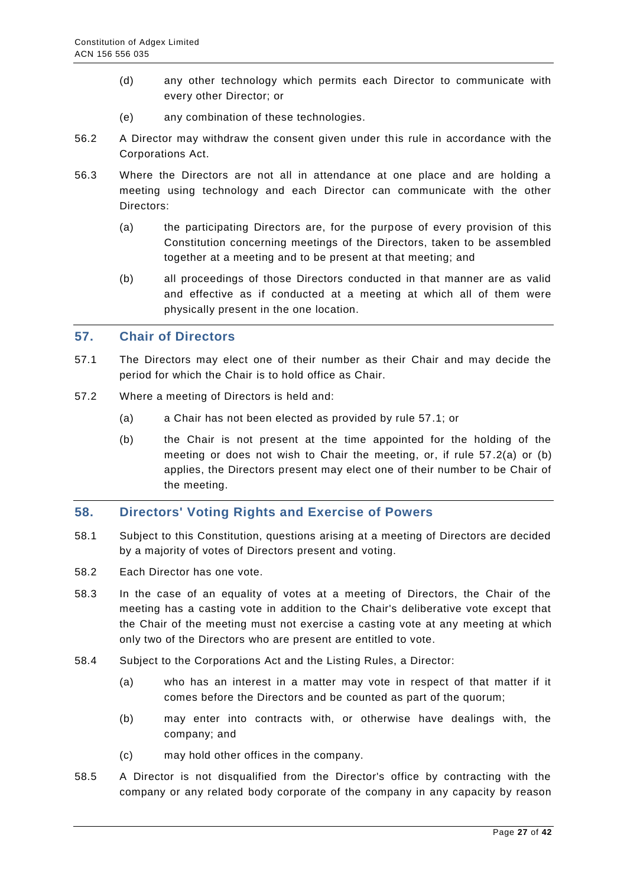- (d) any other technology which permits each Director to communicate with every other Director; or
- (e) any combination of these technologies.
- 56.2 A Director may withdraw the consent given under this rule in accordance with the Corporations Act.
- 56.3 Where the Directors are not all in attendance at one place and are holding a meeting using technology and each Director can communicate with the other Directors:
	- (a) the participating Directors are, for the purpose of every provision of this Constitution concerning meetings of the Directors, taken to be assembled together at a meeting and to be present at that meeting; and
	- (b) all proceedings of those Directors conducted in that manner are as valid and effective as if conducted at a meeting at which all of them were physically present in the one location.

#### <span id="page-26-0"></span>**57. Chair of Directors**

- 57.1 The Directors may elect one of their number as their Chair and may decide the period for which the Chair is to hold office as Chair.
- 57.2 Where a meeting of Directors is held and:
	- (a) a Chair has not been elected as provided by rule 57.1; or
	- (b) the Chair is not present at the time appointed for the holding of the meeting or does not wish to Chair the meeting, or, if rule 57.2(a) or (b) applies, the Directors present may elect one of their number to be Chair of the meeting.

#### <span id="page-26-1"></span>**58. Directors' Voting Rights and Exercise of Powers**

- 58.1 Subject to this Constitution, questions arising at a meeting of Directors are decided by a majority of votes of Directors present and voting.
- 58.2 Each Director has one vote.
- 58.3 In the case of an equality of votes at a meeting of Directors, the Chair of the meeting has a casting vote in addition to the Chair's deliberative vote except that the Chair of the meeting must not exercise a casting vote at any meeting at which only two of the Directors who are present are entitled to vote.
- 58.4 Subject to the Corporations Act and the Listing Rules, a Director:
	- (a) who has an interest in a matter may vote in respect of that matter if it comes before the Directors and be counted as part of the quorum;
	- (b) may enter into contracts with, or otherwise have dealings with, the company; and
	- (c) may hold other offices in the company.
- 58.5 A Director is not disqualified from the Director's office by contracting with the company or any related body corporate of the company in any capacity by reason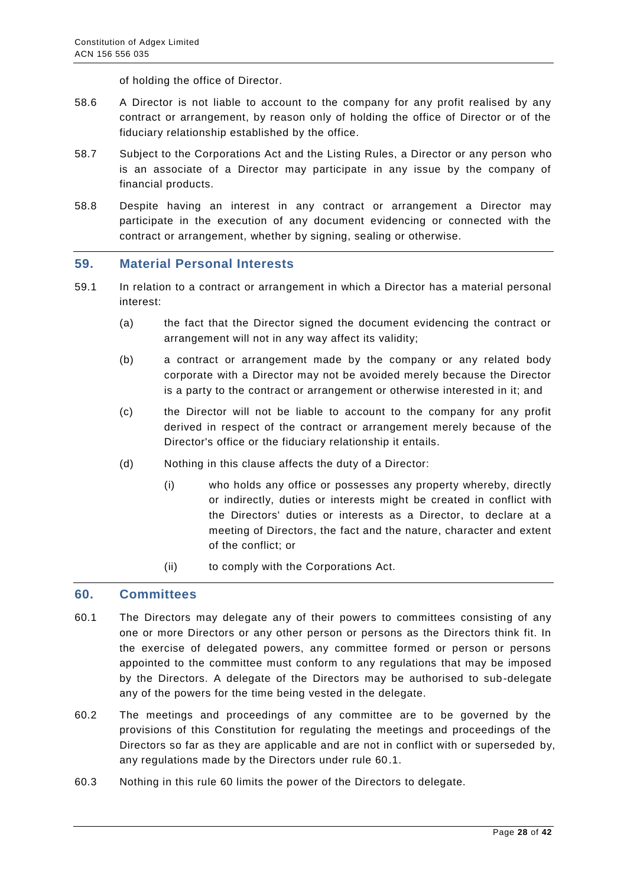of holding the office of Director.

- 58.6 A Director is not liable to account to the company for any profit realised by any contract or arrangement, by reason only of holding the office of Director or of the fiduciary relationship established by the office.
- 58.7 Subject to the Corporations Act and the Listing Rules, a Director or any person who is an associate of a Director may participate in any issue by the company of financial products.
- 58.8 Despite having an interest in any contract or arrangement a Director may participate in the execution of any document evidencing or connected with the contract or arrangement, whether by signing, sealing or otherwise.

#### <span id="page-27-0"></span>**59. Material Personal Interests**

- 59.1 In relation to a contract or arrangement in which a Director has a material personal interest:
	- (a) the fact that the Director signed the document evidencing the contract or arrangement will not in any way affect its validity;
	- (b) a contract or arrangement made by the company or any related body corporate with a Director may not be avoided merely because the Director is a party to the contract or arrangement or otherwise interested in it; and
	- (c) the Director will not be liable to account to the company for any profit derived in respect of the contract or arrangement merely because of the Director's office or the fiduciary relationship it entails.
	- (d) Nothing in this clause affects the duty of a Director:
		- (i) who holds any office or possesses any property whereby, directly or indirectly, duties or interests might be created in conflict with the Directors' duties or interests as a Director, to declare at a meeting of Directors, the fact and the nature, character and extent of the conflict; or
		- (ii) to comply with the Corporations Act.

#### <span id="page-27-1"></span>**60. Committees**

- 60.1 The Directors may delegate any of their powers to committees consisting of any one or more Directors or any other person or persons as the Directors think fit. In the exercise of delegated powers, any committee formed or person or persons appointed to the committee must conform to any regulations that may be imposed by the Directors. A delegate of the Directors may be authorised to sub-delegate any of the powers for the time being vested in the delegate.
- 60.2 The meetings and proceedings of any committee are to be governed by the provisions of this Constitution for regulating the meetings and proceedings of the Directors so far as they are applicable and are not in conflict with or superseded by, any regulations made by the Directors under rule 60.1.
- 60.3 Nothing in this rule 60 limits the power of the Directors to delegate.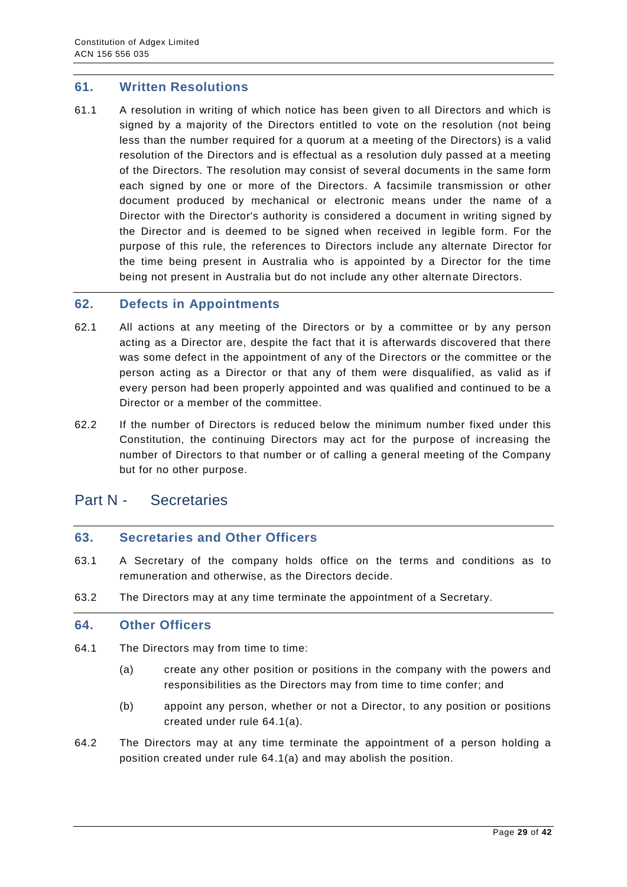#### <span id="page-28-0"></span>**61. Written Resolutions**

61.1 A resolution in writing of which notice has been given to all Directors and which is signed by a majority of the Directors entitled to vote on the resolution (not being less than the number required for a quorum at a meeting of the Directors) is a valid resolution of the Directors and is effectual as a resolution duly passed at a meeting of the Directors. The resolution may consist of several documents in the same form each signed by one or more of the Directors. A facsimile transmission or other document produced by mechanical or electronic means under the name of a Director with the Director's authority is considered a document in writing signed by the Director and is deemed to be signed when received in legible form. For the purpose of this rule, the references to Directors include any alternate Director for the time being present in Australia who is appointed by a Director for the time being not present in Australia but do not include any other alternate Directors.

#### <span id="page-28-1"></span>**62. Defects in Appointments**

- 62.1 All actions at any meeting of the Directors or by a committee or by any person acting as a Director are, despite the fact that it is afterwards discovered that there was some defect in the appointment of any of the Directors or the committee or the person acting as a Director or that any of them were disqualified, as valid as if every person had been properly appointed and was qualified and continued to be a Director or a member of the committee.
- 62.2 If the number of Directors is reduced below the minimum number fixed under this Constitution, the continuing Directors may act for the purpose of increasing the number of Directors to that number or of calling a general meeting of the Company but for no other purpose.

## <span id="page-28-2"></span>Part N - Secretaries

#### <span id="page-28-3"></span>**63. Secretaries and Other Officers**

- 63.1 A Secretary of the company holds office on the terms and conditions as to remuneration and otherwise, as the Directors decide.
- 63.2 The Directors may at any time terminate the appointment of a Secretary.

#### <span id="page-28-4"></span>**64. Other Officers**

- 64.1 The Directors may from time to time:
	- (a) create any other position or positions in the company with the powers and responsibilities as the Directors may from time to time confer; and
	- (b) appoint any person, whether or not a Director, to any position or positions created under rule 64.1(a).
- 64.2 The Directors may at any time terminate the appointment of a person holding a position created under rule 64.1(a) and may abolish the position.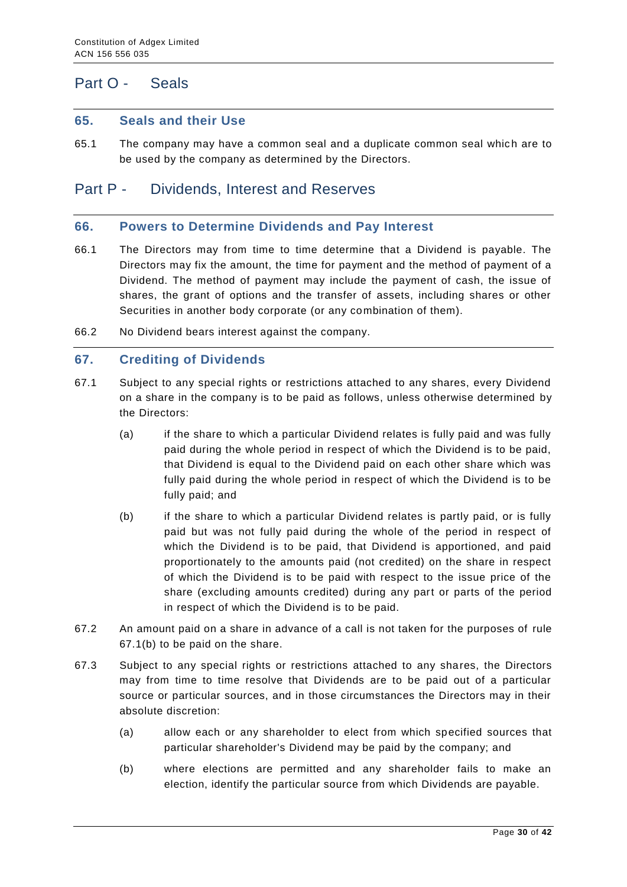# <span id="page-29-0"></span>Part O - Seals

#### <span id="page-29-1"></span>**65. Seals and their Use**

65.1 The company may have a common seal and a duplicate common seal which are to be used by the company as determined by the Directors.

## <span id="page-29-2"></span>Part P - Dividends, Interest and Reserves

#### <span id="page-29-3"></span>**66. Powers to Determine Dividends and Pay Interest**

- 66.1 The Directors may from time to time determine that a Dividend is payable. The Directors may fix the amount, the time for payment and the method of payment of a Dividend. The method of payment may include the payment of cash, the issue of shares, the grant of options and the transfer of assets, including shares or other Securities in another body corporate (or any combination of them).
- 66.2 No Dividend bears interest against the company.

#### <span id="page-29-4"></span>**67. Crediting of Dividends**

- 67.1 Subject to any special rights or restrictions attached to any shares, every Dividend on a share in the company is to be paid as follows, unless otherwise determined by the Directors:
	- (a) if the share to which a particular Dividend relates is fully paid and was fully paid during the whole period in respect of which the Dividend is to be paid, that Dividend is equal to the Dividend paid on each other share which was fully paid during the whole period in respect of which the Dividend is to be fully paid; and
	- (b) if the share to which a particular Dividend relates is partly paid, or is fully paid but was not fully paid during the whole of the period in respect of which the Dividend is to be paid, that Dividend is apportioned, and paid proportionately to the amounts paid (not credited) on the share in respect of which the Dividend is to be paid with respect to the issue price of the share (excluding amounts credited) during any part or parts of the period in respect of which the Dividend is to be paid.
- 67.2 An amount paid on a share in advance of a call is not taken for the purposes of rule 67.1(b) to be paid on the share.
- 67.3 Subject to any special rights or restrictions attached to any shares, the Directors may from time to time resolve that Dividends are to be paid out of a particular source or particular sources, and in those circumstances the Directors may in their absolute discretion:
	- (a) allow each or any shareholder to elect from which specified sources that particular shareholder's Dividend may be paid by the company; and
	- (b) where elections are permitted and any shareholder fails to make an election, identify the particular source from which Dividends are payable.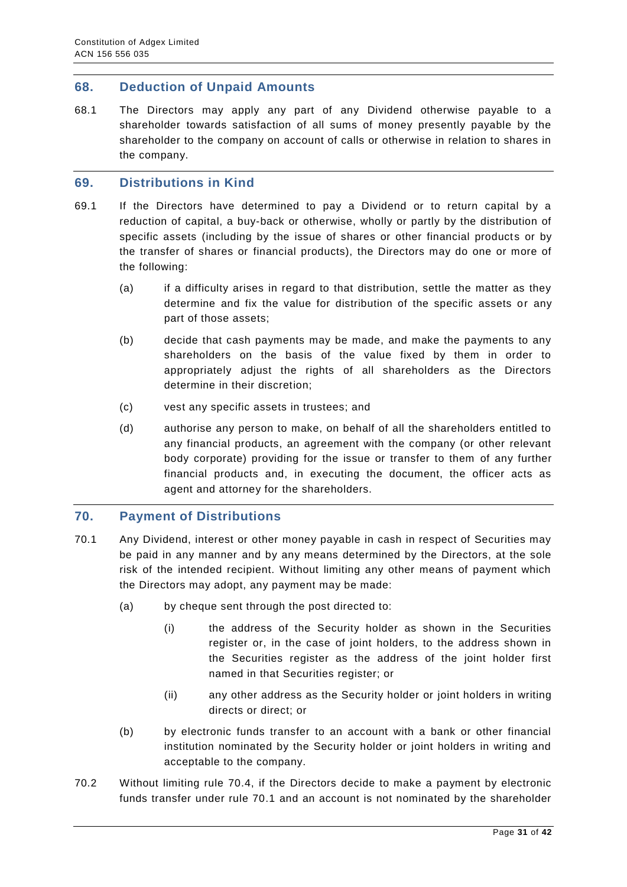#### <span id="page-30-0"></span>**68. Deduction of Unpaid Amounts**

68.1 The Directors may apply any part of any Dividend otherwise payable to a shareholder towards satisfaction of all sums of money presently payable by the shareholder to the company on account of calls or otherwise in relation to shares in the company.

#### <span id="page-30-1"></span>**69. Distributions in Kind**

- 69.1 If the Directors have determined to pay a Dividend or to return capital by a reduction of capital, a buy-back or otherwise, wholly or partly by the distribution of specific assets (including by the issue of shares or other financial products or by the transfer of shares or financial products), the Directors may do one or more of the following:
	- (a) if a difficulty arises in regard to that distribution, settle the matter as they determine and fix the value for distribution of the specific assets or any part of those assets;
	- (b) decide that cash payments may be made, and make the payments to any shareholders on the basis of the value fixed by them in order to appropriately adjust the rights of all shareholders as the Directors determine in their discretion;
	- (c) vest any specific assets in trustees; and
	- (d) authorise any person to make, on behalf of all the shareholders entitled to any financial products, an agreement with the company (or other relevant body corporate) providing for the issue or transfer to them of any further financial products and, in executing the document, the officer acts as agent and attorney for the shareholders.

#### <span id="page-30-2"></span>**70. Payment of Distributions**

- 70.1 Any Dividend, interest or other money payable in cash in respect of Securities may be paid in any manner and by any means determined by the Directors, at the sole risk of the intended recipient. Without limiting any other means of payment which the Directors may adopt, any payment may be made:
	- (a) by cheque sent through the post directed to:
		- (i) the address of the Security holder as shown in the Securities register or, in the case of joint holders, to the address shown in the Securities register as the address of the joint holder first named in that Securities register; or
		- (ii) any other address as the Security holder or joint holders in writing directs or direct; or
	- (b) by electronic funds transfer to an account with a bank or other financial institution nominated by the Security holder or joint holders in writing and acceptable to the company.
- 70.2 Without limiting rule 70.4, if the Directors decide to make a payment by electronic funds transfer under rule 70.1 and an account is not nominated by the shareholder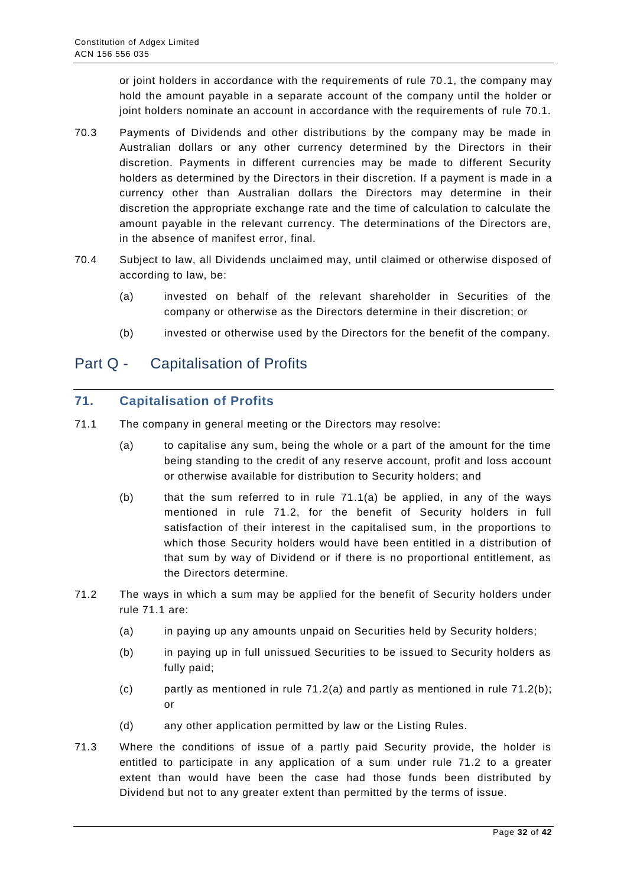or joint holders in accordance with the requirements of rule 70.1, the company may hold the amount payable in a separate account of the company until the holder or joint holders nominate an account in accordance with the requirements of rule 70.1.

- 70.3 Payments of Dividends and other distributions by the company may be made in Australian dollars or any other currency determined by the Directors in their discretion. Payments in different currencies may be made to different Security holders as determined by the Directors in their discretion. If a payment is made in a currency other than Australian dollars the Directors may determine in their discretion the appropriate exchange rate and the time of calculation to calculate the amount payable in the relevant currency. The determinations of the Directors are, in the absence of manifest error, final.
- 70.4 Subject to law, all Dividends unclaimed may, until claimed or otherwise disposed of according to law, be:
	- (a) invested on behalf of the relevant shareholder in Securities of the company or otherwise as the Directors determine in their discretion; or
	- (b) invested or otherwise used by the Directors for the benefit of the company.

# <span id="page-31-0"></span>Part Q - Capitalisation of Profits

## <span id="page-31-1"></span>**71. Capitalisation of Profits**

- 71.1 The company in general meeting or the Directors may resolve:
	- (a) to capitalise any sum, being the whole or a part of the amount for the time being standing to the credit of any reserve account, profit and loss account or otherwise available for distribution to Security holders; and
	- (b) that the sum referred to in rule 71.1(a) be applied, in any of the ways mentioned in rule 71.2, for the benefit of Security holders in full satisfaction of their interest in the capitalised sum, in the proportions to which those Security holders would have been entitled in a distribution of that sum by way of Dividend or if there is no proportional entitlement, as the Directors determine.
- 71.2 The ways in which a sum may be applied for the benefit of Security holders under rule 71.1 are:
	- (a) in paying up any amounts unpaid on Securities held by Security holders;
	- (b) in paying up in full unissued Securities to be issued to Security holders as fully paid;
	- (c) partly as mentioned in rule  $71.2(a)$  and partly as mentioned in rule  $71.2(b)$ ; or
	- (d) any other application permitted by law or the Listing Rules.
- 71.3 Where the conditions of issue of a partly paid Security provide, the holder is entitled to participate in any application of a sum under rule 71.2 to a greater extent than would have been the case had those funds been distributed by Dividend but not to any greater extent than permitted by the terms of issue.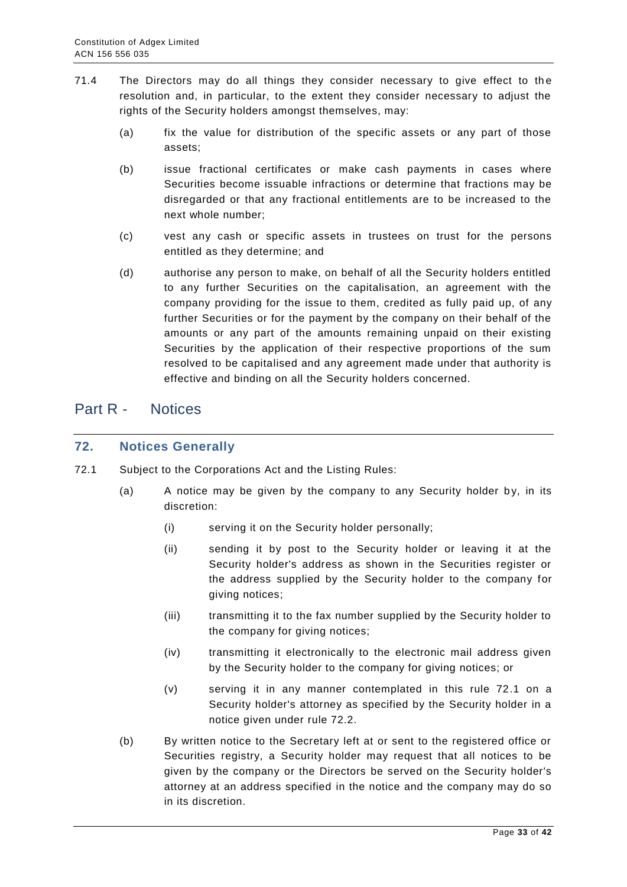- 71.4 The Directors may do all things they consider necessary to give effect to the resolution and, in particular, to the extent they consider necessary to adjust the rights of the Security holders amongst themselves, may:
	- (a) fix the value for distribution of the specific assets or any part of those assets;
	- (b) issue fractional certificates or make cash payments in cases where Securities become issuable infractions or determine that fractions may be disregarded or that any fractional entitlements are to be increased to the next whole number;
	- (c) vest any cash or specific assets in trustees on trust for the persons entitled as they determine; and
	- (d) authorise any person to make, on behalf of all the Security holders entitled to any further Securities on the capitalisation, an agreement with the company providing for the issue to them, credited as fully paid up, of any further Securities or for the payment by the company on their behalf of the amounts or any part of the amounts remaining unpaid on their existing Securities by the application of their respective proportions of the sum resolved to be capitalised and any agreement made under that authority is effective and binding on all the Security holders concerned.

## <span id="page-32-0"></span>Part R - Notices

#### <span id="page-32-1"></span>**72. Notices Generally**

- 72.1 Subject to the Corporations Act and the Listing Rules:
	- (a) A notice may be given by the company to any Security holder by, in its discretion:
		- (i) serving it on the Security holder personally;
		- (ii) sending it by post to the Security holder or leaving it at the Security holder's address as shown in the Securities register or the address supplied by the Security holder to the company for giving notices;
		- (iii) transmitting it to the fax number supplied by the Security holder to the company for giving notices;
		- (iv) transmitting it electronically to the electronic mail address given by the Security holder to the company for giving notices; or
		- (v) serving it in any manner contemplated in this rule 72.1 on a Security holder's attorney as specified by the Security holder in a notice given under rule 72.2.
	- (b) By written notice to the Secretary left at or sent to the registered office or Securities registry, a Security holder may request that all notices to be given by the company or the Directors be served on the Security holder's attorney at an address specified in the notice and the company may do so in its discretion.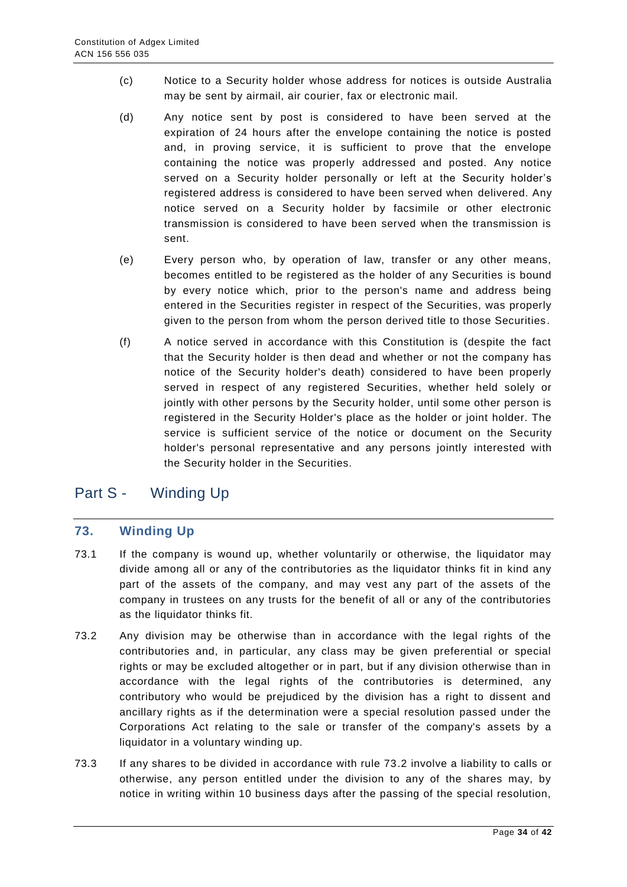- (c) Notice to a Security holder whose address for notices is outside Australia may be sent by airmail, air courier, fax or electronic mail.
- (d) Any notice sent by post is considered to have been served at the expiration of 24 hours after the envelope containing the notice is posted and, in proving service, it is sufficient to prove that the envelope containing the notice was properly addressed and posted. Any notice served on a Security holder personally or left at the Security holder's registered address is considered to have been served when delivered. Any notice served on a Security holder by facsimile or other electronic transmission is considered to have been served when the transmission is sent.
- (e) Every person who, by operation of law, transfer or any other means, becomes entitled to be registered as the holder of any Securities is bound by every notice which, prior to the person's name and address being entered in the Securities register in respect of the Securities, was properly given to the person from whom the person derived title to those Securities.
- (f) A notice served in accordance with this Constitution is (despite the fact that the Security holder is then dead and whether or not the company has notice of the Security holder's death) considered to have been properly served in respect of any registered Securities, whether held solely or jointly with other persons by the Security holder, until some other person is registered in the Security Holder's place as the holder or joint holder. The service is sufficient service of the notice or document on the Security holder's personal representative and any persons jointly interested with the Security holder in the Securities.

# <span id="page-33-0"></span>Part S - Winding Up

## <span id="page-33-1"></span>**73. Winding Up**

- 73.1 If the company is wound up, whether voluntarily or otherwise, the liquidator may divide among all or any of the contributories as the liquidator thinks fit in kind any part of the assets of the company, and may vest any part of the assets of the company in trustees on any trusts for the benefit of all or any of the contributories as the liquidator thinks fit.
- 73.2 Any division may be otherwise than in accordance with the legal rights of the contributories and, in particular, any class may be given preferential or special rights or may be excluded altogether or in part, but if any division otherwise than in accordance with the legal rights of the contributories is determined, any contributory who would be prejudiced by the division has a right to dissent and ancillary rights as if the determination were a special resolution passed under the Corporations Act relating to the sale or transfer of the company's assets by a liquidator in a voluntary winding up.
- 73.3 If any shares to be divided in accordance with rule 73.2 involve a liability to calls or otherwise, any person entitled under the division to any of the shares may, by notice in writing within 10 business days after the passing of the special resolution,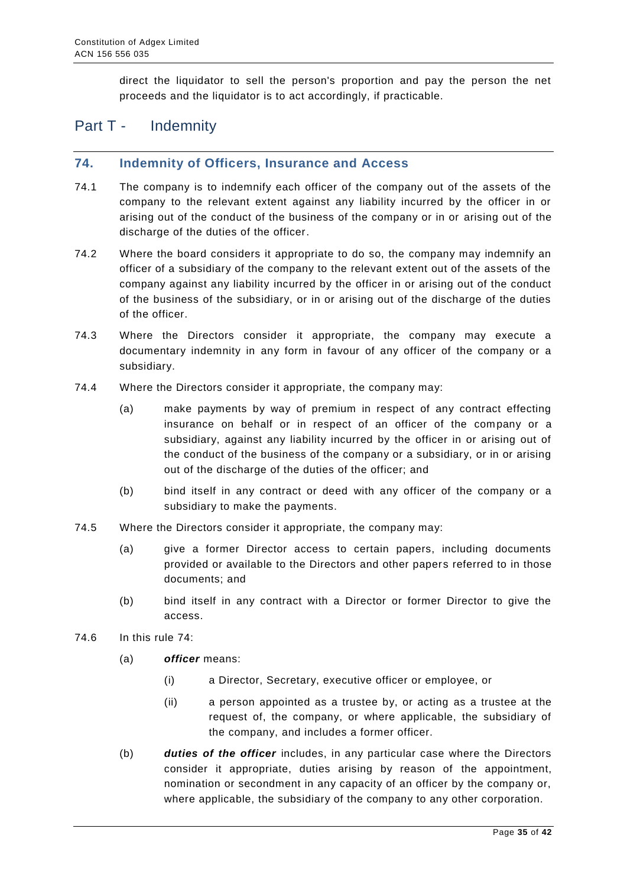direct the liquidator to sell the person's proportion and pay the person the net proceeds and the liquidator is to act accordingly, if practicable.

## <span id="page-34-0"></span>Part T - Indemnity

#### <span id="page-34-1"></span>**74. Indemnity of Officers, Insurance and Access**

- 74.1 The company is to indemnify each officer of the company out of the assets of the company to the relevant extent against any liability incurred by the officer in or arising out of the conduct of the business of the company or in or arising out of the discharge of the duties of the officer.
- 74.2 Where the board considers it appropriate to do so, the company may indemnify an officer of a subsidiary of the company to the relevant extent out of the assets of the company against any liability incurred by the officer in or arising out of the conduct of the business of the subsidiary, or in or arising out of the discharge of the duties of the officer.
- 74.3 Where the Directors consider it appropriate, the company may execute a documentary indemnity in any form in favour of any officer of the company or a subsidiary.
- 74.4 Where the Directors consider it appropriate, the company may:
	- (a) make payments by way of premium in respect of any contract effecting insurance on behalf or in respect of an officer of the com pany or a subsidiary, against any liability incurred by the officer in or arising out of the conduct of the business of the company or a subsidiary, or in or arising out of the discharge of the duties of the officer; and
	- (b) bind itself in any contract or deed with any officer of the company or a subsidiary to make the payments.
- 74.5 Where the Directors consider it appropriate, the company may:
	- (a) give a former Director access to certain papers, including documents provided or available to the Directors and other papers referred to in those documents; and
	- (b) bind itself in any contract with a Director or former Director to give the access.
- 74.6 In this rule 74:
	- (a) *officer* means:
		- (i) a Director, Secretary, executive officer or employee, or
		- (ii) a person appointed as a trustee by, or acting as a trustee at the request of, the company, or where applicable, the subsidiary of the company, and includes a former officer.
	- (b) *duties of the officer* includes, in any particular case where the Directors consider it appropriate, duties arising by reason of the appointment, nomination or secondment in any capacity of an officer by the company or, where applicable, the subsidiary of the company to any other corporation.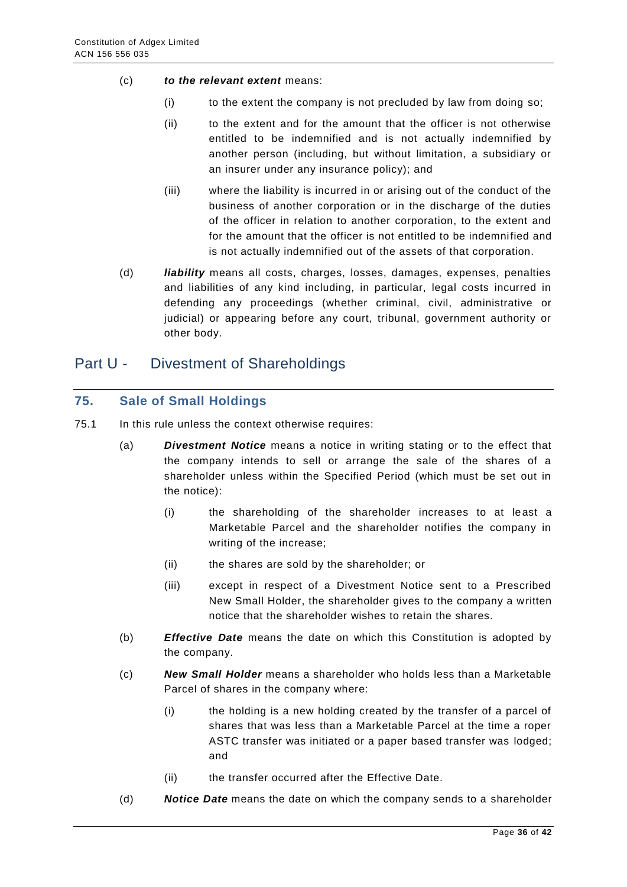- (c) *to the relevant extent* means:
	- (i) to the extent the company is not precluded by law from doing so;
	- (ii) to the extent and for the amount that the officer is not otherwise entitled to be indemnified and is not actually indemnified by another person (including, but without limitation, a subsidiary or an insurer under any insurance policy); and
	- (iii) where the liability is incurred in or arising out of the conduct of the business of another corporation or in the discharge of the duties of the officer in relation to another corporation, to the extent and for the amount that the officer is not entitled to be indemnified and is not actually indemnified out of the assets of that corporation.
- (d) *liability* means all costs, charges, losses, damages, expenses, penalties and liabilities of any kind including, in particular, legal costs incurred in defending any proceedings (whether criminal, civil, administrative or judicial) or appearing before any court, tribunal, government authority or other body.

## <span id="page-35-0"></span>Part U - Divestment of Shareholdings

#### <span id="page-35-1"></span>**75. Sale of Small Holdings**

- 75.1 In this rule unless the context otherwise requires:
	- (a) *Divestment Notice* means a notice in writing stating or to the effect that the company intends to sell or arrange the sale of the shares of a shareholder unless within the Specified Period (which must be set out in the notice):
		- (i) the shareholding of the shareholder increases to at least a Marketable Parcel and the shareholder notifies the company in writing of the increase;
		- (ii) the shares are sold by the shareholder; or
		- (iii) except in respect of a Divestment Notice sent to a Prescribed New Small Holder, the shareholder gives to the company a written notice that the shareholder wishes to retain the shares.
	- (b) *Effective Date* means the date on which this Constitution is adopted by the company.
	- (c) *New Small Holder* means a shareholder who holds less than a Marketable Parcel of shares in the company where:
		- (i) the holding is a new holding created by the transfer of a parcel of shares that was less than a Marketable Parcel at the time a roper ASTC transfer was initiated or a paper based transfer was lodged; and
		- (ii) the transfer occurred after the Effective Date.
	- (d) *Notice Date* means the date on which the company sends to a shareholder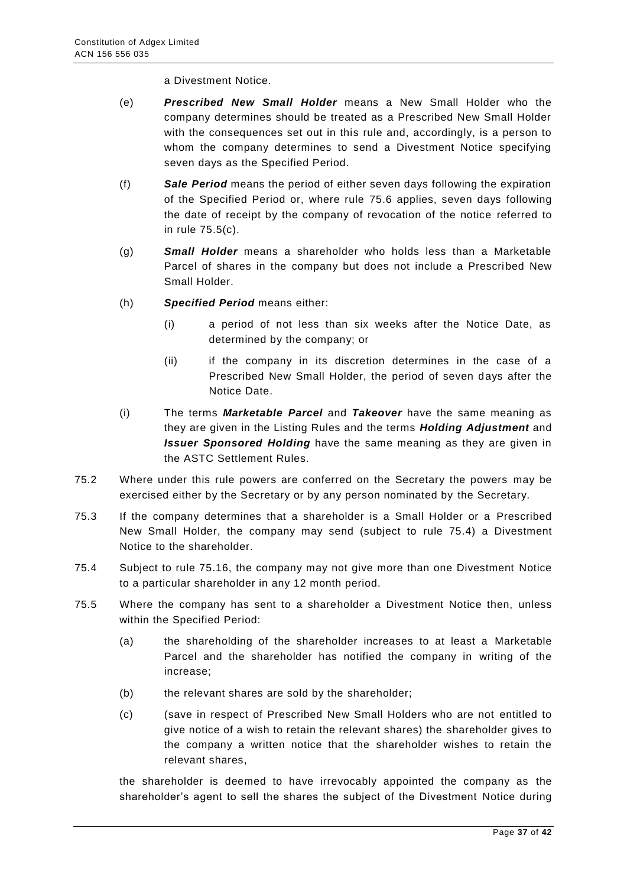a Divestment Notice.

- (e) *Prescribed New Small Holder* means a New Small Holder who the company determines should be treated as a Prescribed New Small Holder with the consequences set out in this rule and, accordingly, is a person to whom the company determines to send a Divestment Notice specifying seven days as the Specified Period.
- (f) *Sale Period* means the period of either seven days following the expiration of the Specified Period or, where rule 75.6 applies, seven days following the date of receipt by the company of revocation of the notice referred to in rule 75.5(c).
- (g) *Small Holder* means a shareholder who holds less than a Marketable Parcel of shares in the company but does not include a Prescribed New Small Holder.
- (h) *Specified Period* means either:
	- (i) a period of not less than six weeks after the Notice Date, as determined by the company; or
	- (ii) if the company in its discretion determines in the case of a Prescribed New Small Holder, the period of seven days after the Notice Date.
- (i) The terms *Marketable Parcel* and *Takeover* have the same meaning as they are given in the Listing Rules and the terms *Holding Adjustment* and *Issuer Sponsored Holding* have the same meaning as they are given in the ASTC Settlement Rules.
- 75.2 Where under this rule powers are conferred on the Secretary the powers may be exercised either by the Secretary or by any person nominated by the Secretary.
- 75.3 If the company determines that a shareholder is a Small Holder or a Prescribed New Small Holder, the company may send (subject to rule 75.4) a Divestment Notice to the shareholder.
- 75.4 Subject to rule 75.16, the company may not give more than one Divestment Notice to a particular shareholder in any 12 month period.
- 75.5 Where the company has sent to a shareholder a Divestment Notice then, unless within the Specified Period:
	- (a) the shareholding of the shareholder increases to at least a Marketable Parcel and the shareholder has notified the company in writing of the increase;
	- (b) the relevant shares are sold by the shareholder;
	- (c) (save in respect of Prescribed New Small Holders who are not entitled to give notice of a wish to retain the relevant shares) the shareholder gives to the company a written notice that the shareholder wishes to retain the relevant shares,

the shareholder is deemed to have irrevocably appointed the company as the shareholder's agent to sell the shares the subject of the Divestment Notice during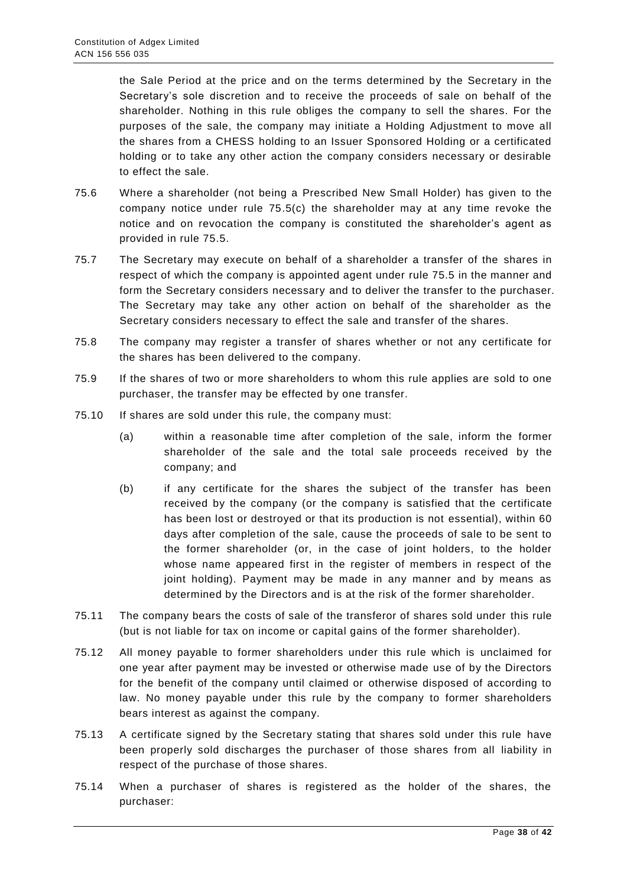the Sale Period at the price and on the terms determined by the Secretary in the Secretary's sole discretion and to receive the proceeds of sale on behalf of the shareholder. Nothing in this rule obliges the company to sell the shares. For the purposes of the sale, the company may initiate a Holding Adjustment to move all the shares from a CHESS holding to an Issuer Sponsored Holding or a certificated holding or to take any other action the company considers necessary or desirable to effect the sale.

- 75.6 Where a shareholder (not being a Prescribed New Small Holder) has given to the company notice under rule  $75.5(c)$  the shareholder may at any time revoke the notice and on revocation the company is constituted the shareholder's agent as provided in rule 75.5.
- 75.7 The Secretary may execute on behalf of a shareholder a transfer of the shares in respect of which the company is appointed agent under rule 75.5 in the manner and form the Secretary considers necessary and to deliver the transfer to the purchaser. The Secretary may take any other action on behalf of the shareholder as the Secretary considers necessary to effect the sale and transfer of the shares.
- 75.8 The company may register a transfer of shares whether or not any certificate for the shares has been delivered to the company.
- 75.9 If the shares of two or more shareholders to whom this rule applies are sold to one purchaser, the transfer may be effected by one transfer.
- 75.10 If shares are sold under this rule, the company must:
	- (a) within a reasonable time after completion of the sale, inform the former shareholder of the sale and the total sale proceeds received by the company; and
	- (b) if any certificate for the shares the subject of the transfer has been received by the company (or the company is satisfied that the certificate has been lost or destroyed or that its production is not essential), within 60 days after completion of the sale, cause the proceeds of sale to be sent to the former shareholder (or, in the case of joint holders, to the holder whose name appeared first in the register of members in respect of the joint holding). Payment may be made in any manner and by means as determined by the Directors and is at the risk of the former shareholder.
- 75.11 The company bears the costs of sale of the transferor of shares sold under this rule (but is not liable for tax on income or capital gains of the former shareholder).
- 75.12 All money payable to former shareholders under this rule which is unclaimed for one year after payment may be invested or otherwise made use of by the Directors for the benefit of the company until claimed or otherwise disposed of according to law. No money payable under this rule by the company to former shareholders bears interest as against the company.
- 75.13 A certificate signed by the Secretary stating that shares sold under this rule have been properly sold discharges the purchaser of those shares from all liability in respect of the purchase of those shares.
- 75.14 When a purchaser of shares is registered as the holder of the shares, the purchaser: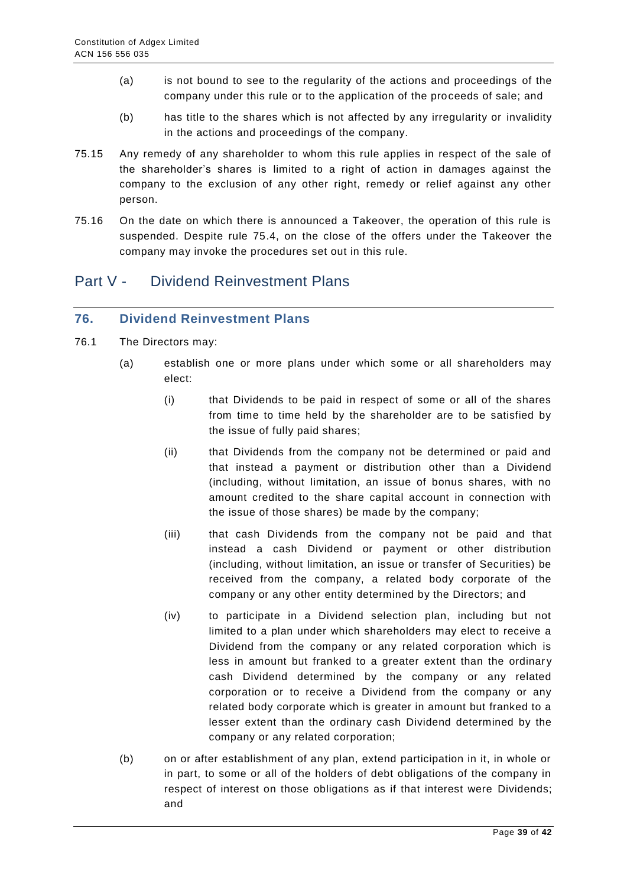- (a) is not bound to see to the regularity of the actions and proceedings of the company under this rule or to the application of the proceeds of sale; and
- (b) has title to the shares which is not affected by any irregularity or invalidity in the actions and proceedings of the company.
- 75.15 Any remedy of any shareholder to whom this rule applies in respect of the sale of the shareholder's shares is limited to a right of action in damages against the company to the exclusion of any other right, remedy or relief against any other person.
- 75.16 On the date on which there is announced a Takeover, the operation of this rule is suspended. Despite rule 75.4, on the close of the offers under the Takeover the company may invoke the procedures set out in this rule.

# <span id="page-38-0"></span>Part V - Dividend Reinvestment Plans

## <span id="page-38-1"></span>**76. Dividend Reinvestment Plans**

- 76.1 The Directors may:
	- (a) establish one or more plans under which some or all shareholders may elect:
		- (i) that Dividends to be paid in respect of some or all of the shares from time to time held by the shareholder are to be satisfied by the issue of fully paid shares;
		- (ii) that Dividends from the company not be determined or paid and that instead a payment or distribution other than a Dividend (including, without limitation, an issue of bonus shares, with no amount credited to the share capital account in connection with the issue of those shares) be made by the company;
		- (iii) that cash Dividends from the company not be paid and that instead a cash Dividend or payment or other distribution (including, without limitation, an issue or transfer of Securities) be received from the company, a related body corporate of the company or any other entity determined by the Directors; and
		- (iv) to participate in a Dividend selection plan, including but not limited to a plan under which shareholders may elect to receive a Dividend from the company or any related corporation which is less in amount but franked to a greater extent than the ordinary cash Dividend determined by the company or any related corporation or to receive a Dividend from the company or any related body corporate which is greater in amount but franked to a lesser extent than the ordinary cash Dividend determined by the company or any related corporation;
	- (b) on or after establishment of any plan, extend participation in it, in whole or in part, to some or all of the holders of debt obligations of the company in respect of interest on those obligations as if that interest were Dividends; and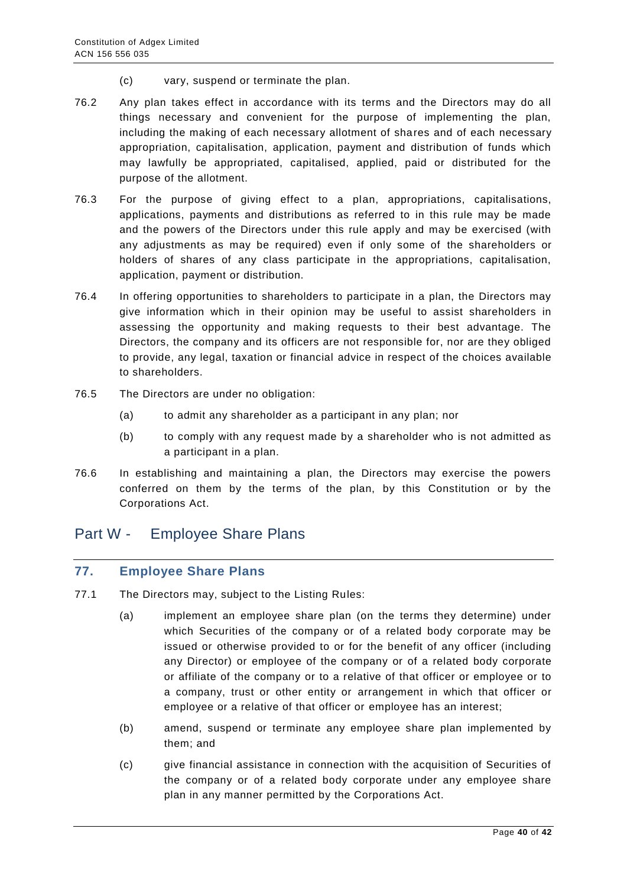- (c) vary, suspend or terminate the plan.
- 76.2 Any plan takes effect in accordance with its terms and the Directors may do all things necessary and convenient for the purpose of implementing the plan, including the making of each necessary allotment of shares and of each necessary appropriation, capitalisation, application, payment and distribution of funds which may lawfully be appropriated, capitalised, applied, paid or distributed for the purpose of the allotment.
- 76.3 For the purpose of giving effect to a plan, appropriations, capitalisations, applications, payments and distributions as referred to in this rule may be made and the powers of the Directors under this rule apply and may be exercised (with any adjustments as may be required) even if only some of the shareholders or holders of shares of any class participate in the appropriations, capitalisation, application, payment or distribution.
- 76.4 In offering opportunities to shareholders to participate in a plan, the Directors may give information which in their opinion may be useful to assist shareholders in assessing the opportunity and making requests to their best advantage. The Directors, the company and its officers are not responsible for, nor are they obliged to provide, any legal, taxation or financial advice in respect of the choices available to shareholders.
- 76.5 The Directors are under no obligation:
	- (a) to admit any shareholder as a participant in any plan; nor
	- (b) to comply with any request made by a shareholder who is not admitted as a participant in a plan.
- 76.6 In establishing and maintaining a plan, the Directors may exercise the powers conferred on them by the terms of the plan, by this Constitution or by the Corporations Act.

## <span id="page-39-0"></span>Part W - Employee Share Plans

#### <span id="page-39-1"></span>**77. Employee Share Plans**

- 77.1 The Directors may, subject to the Listing Rules:
	- (a) implement an employee share plan (on the terms they determine) under which Securities of the company or of a related body corporate may be issued or otherwise provided to or for the benefit of any officer (including any Director) or employee of the company or of a related body corporate or affiliate of the company or to a relative of that officer or employee or to a company, trust or other entity or arrangement in which that officer or employee or a relative of that officer or employee has an interest;
	- (b) amend, suspend or terminate any employee share plan implemented by them; and
	- (c) give financial assistance in connection with the acquisition of Securities of the company or of a related body corporate under any employee share plan in any manner permitted by the Corporations Act.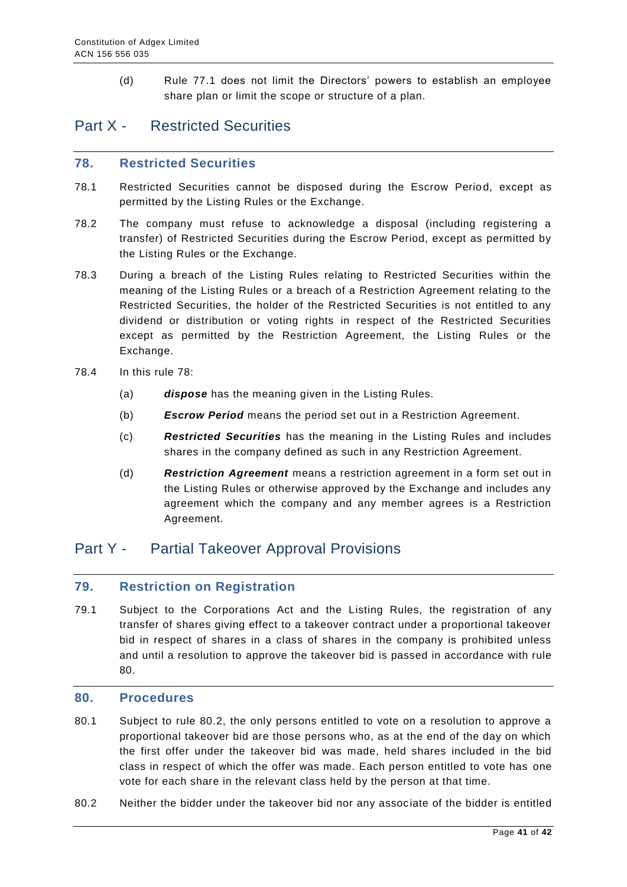(d) Rule 77.1 does not limit the Directors' powers to establish an employee share plan or limit the scope or structure of a plan.

# <span id="page-40-0"></span>Part X - Restricted Securities

#### <span id="page-40-1"></span>**78. Restricted Securities**

- 78.1 Restricted Securities cannot be disposed during the Escrow Period, except as permitted by the Listing Rules or the Exchange.
- 78.2 The company must refuse to acknowledge a disposal (including registering a transfer) of Restricted Securities during the Escrow Period, except as permitted by the Listing Rules or the Exchange.
- 78.3 During a breach of the Listing Rules relating to Restricted Securities within the meaning of the Listing Rules or a breach of a Restriction Agreement relating to the Restricted Securities, the holder of the Restricted Securities is not entitled to any dividend or distribution or voting rights in respect of the Restricted Securities except as permitted by the Restriction Agreement, the Listing Rules or the Exchange.
- 78.4 In this rule 78:
	- (a) *dispose* has the meaning given in the Listing Rules.
	- (b) *Escrow Period* means the period set out in a Restriction Agreement.
	- (c) *Restricted Securities* has the meaning in the Listing Rules and includes shares in the company defined as such in any Restriction Agreement.
	- (d) *Restriction Agreement* means a restriction agreement in a form set out in the Listing Rules or otherwise approved by the Exchange and includes any agreement which the company and any member agrees is a Restriction Agreement.

# <span id="page-40-2"></span>Part Y - Partial Takeover Approval Provisions

#### <span id="page-40-3"></span>**79. Restriction on Registration**

79.1 Subject to the Corporations Act and the Listing Rules, the registration of any transfer of shares giving effect to a takeover contract under a proportional takeover bid in respect of shares in a class of shares in the company is prohibited unless and until a resolution to approve the takeover bid is passed in accordance with rule 80.

#### <span id="page-40-4"></span>**80. Procedures**

- 80.1 Subject to rule 80.2, the only persons entitled to vote on a resolution to approve a proportional takeover bid are those persons who, as at the end of the day on which the first offer under the takeover bid was made, held shares included in the bid class in respect of which the offer was made. Each person entitled to vote has one vote for each share in the relevant class held by the person at that time.
- 80.2 Neither the bidder under the takeover bid nor any assoc iate of the bidder is entitled